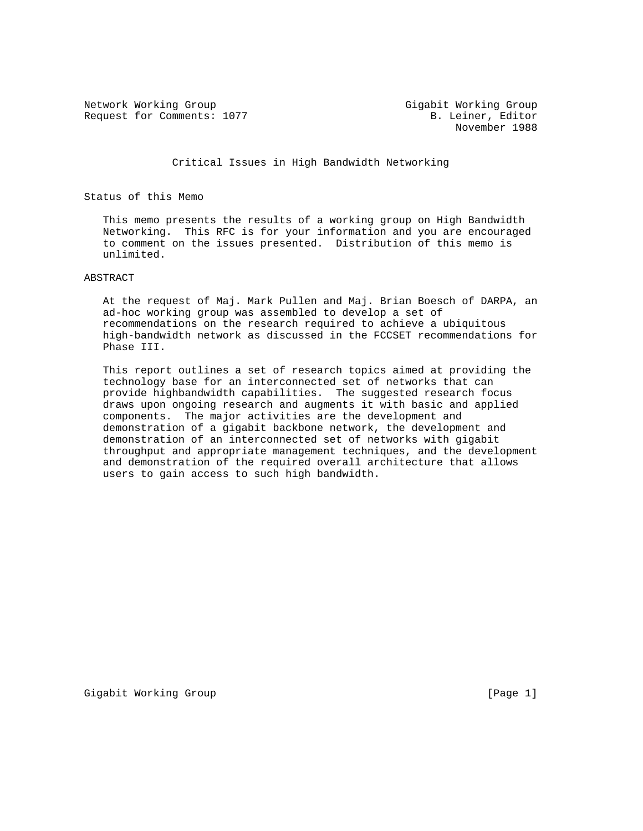Network Working Group Gigabit Working Group Request for Comments: 1077 B. Leiner, Editor

November 1988

Critical Issues in High Bandwidth Networking

Status of this Memo

 This memo presents the results of a working group on High Bandwidth Networking. This RFC is for your information and you are encouraged to comment on the issues presented. Distribution of this memo is unlimited.

#### ABSTRACT

 At the request of Maj. Mark Pullen and Maj. Brian Boesch of DARPA, an ad-hoc working group was assembled to develop a set of recommendations on the research required to achieve a ubiquitous high-bandwidth network as discussed in the FCCSET recommendations for Phase III.

 This report outlines a set of research topics aimed at providing the technology base for an interconnected set of networks that can provide highbandwidth capabilities. The suggested research focus draws upon ongoing research and augments it with basic and applied components. The major activities are the development and demonstration of a gigabit backbone network, the development and demonstration of an interconnected set of networks with gigabit throughput and appropriate management techniques, and the development and demonstration of the required overall architecture that allows users to gain access to such high bandwidth.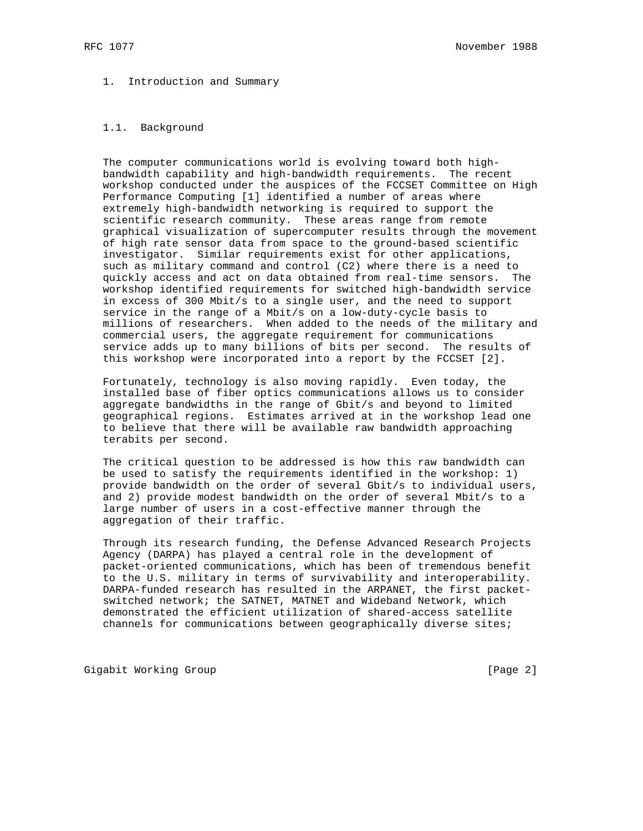# 1. Introduction and Summary

## 1.1. Background

 The computer communications world is evolving toward both high bandwidth capability and high-bandwidth requirements. The recent workshop conducted under the auspices of the FCCSET Committee on High Performance Computing [1] identified a number of areas where extremely high-bandwidth networking is required to support the scientific research community. These areas range from remote graphical visualization of supercomputer results through the movement of high rate sensor data from space to the ground-based scientific investigator. Similar requirements exist for other applications, such as military command and control (C2) where there is a need to quickly access and act on data obtained from real-time sensors. The workshop identified requirements for switched high-bandwidth service in excess of 300 Mbit/s to a single user, and the need to support service in the range of a Mbit/s on a low-duty-cycle basis to millions of researchers. When added to the needs of the military and commercial users, the aggregate requirement for communications service adds up to many billions of bits per second. The results of this workshop were incorporated into a report by the FCCSET [2].

 Fortunately, technology is also moving rapidly. Even today, the installed base of fiber optics communications allows us to consider aggregate bandwidths in the range of Gbit/s and beyond to limited geographical regions. Estimates arrived at in the workshop lead one to believe that there will be available raw bandwidth approaching terabits per second.

 The critical question to be addressed is how this raw bandwidth can be used to satisfy the requirements identified in the workshop: 1) provide bandwidth on the order of several Gbit/s to individual users, and 2) provide modest bandwidth on the order of several Mbit/s to a large number of users in a cost-effective manner through the aggregation of their traffic.

 Through its research funding, the Defense Advanced Research Projects Agency (DARPA) has played a central role in the development of packet-oriented communications, which has been of tremendous benefit to the U.S. military in terms of survivability and interoperability. DARPA-funded research has resulted in the ARPANET, the first packet switched network; the SATNET, MATNET and Wideband Network, which demonstrated the efficient utilization of shared-access satellite channels for communications between geographically diverse sites;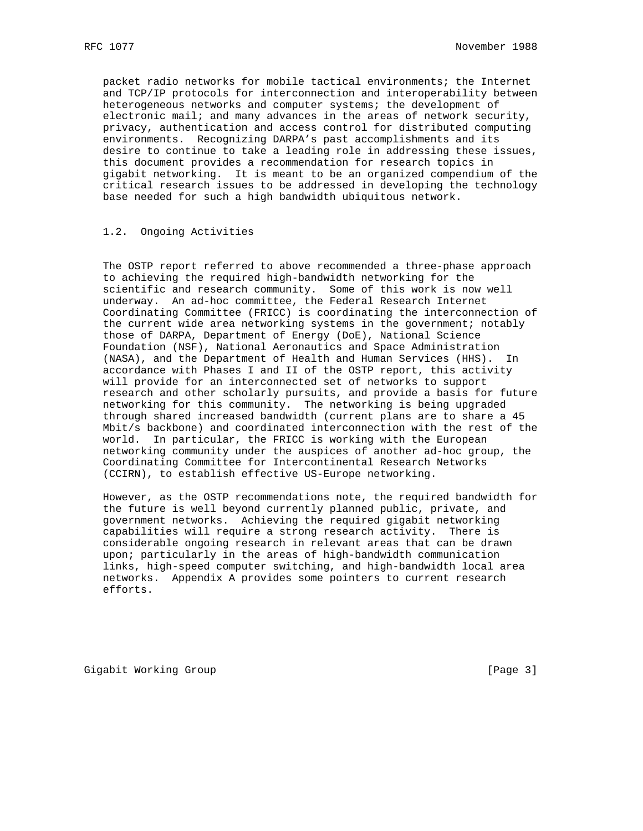packet radio networks for mobile tactical environments; the Internet and TCP/IP protocols for interconnection and interoperability between heterogeneous networks and computer systems; the development of electronic mail; and many advances in the areas of network security, privacy, authentication and access control for distributed computing environments. Recognizing DARPA's past accomplishments and its desire to continue to take a leading role in addressing these issues, this document provides a recommendation for research topics in gigabit networking. It is meant to be an organized compendium of the critical research issues to be addressed in developing the technology base needed for such a high bandwidth ubiquitous network.

## 1.2. Ongoing Activities

 The OSTP report referred to above recommended a three-phase approach to achieving the required high-bandwidth networking for the scientific and research community. Some of this work is now well underway. An ad-hoc committee, the Federal Research Internet Coordinating Committee (FRICC) is coordinating the interconnection of the current wide area networking systems in the government; notably those of DARPA, Department of Energy (DoE), National Science Foundation (NSF), National Aeronautics and Space Administration (NASA), and the Department of Health and Human Services (HHS). In accordance with Phases I and II of the OSTP report, this activity will provide for an interconnected set of networks to support research and other scholarly pursuits, and provide a basis for future networking for this community. The networking is being upgraded through shared increased bandwidth (current plans are to share a 45 Mbit/s backbone) and coordinated interconnection with the rest of the world. In particular, the FRICC is working with the European networking community under the auspices of another ad-hoc group, the Coordinating Committee for Intercontinental Research Networks (CCIRN), to establish effective US-Europe networking.

 However, as the OSTP recommendations note, the required bandwidth for the future is well beyond currently planned public, private, and government networks. Achieving the required gigabit networking capabilities will require a strong research activity. There is considerable ongoing research in relevant areas that can be drawn upon; particularly in the areas of high-bandwidth communication links, high-speed computer switching, and high-bandwidth local area networks. Appendix A provides some pointers to current research efforts.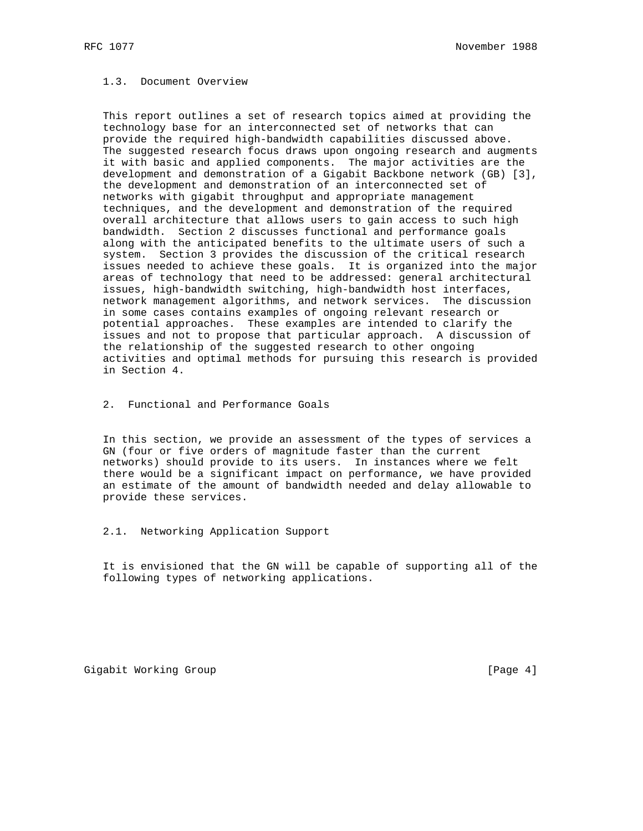### 1.3. Document Overview

 This report outlines a set of research topics aimed at providing the technology base for an interconnected set of networks that can provide the required high-bandwidth capabilities discussed above. The suggested research focus draws upon ongoing research and augments it with basic and applied components. The major activities are the development and demonstration of a Gigabit Backbone network (GB) [3], the development and demonstration of an interconnected set of networks with gigabit throughput and appropriate management techniques, and the development and demonstration of the required overall architecture that allows users to gain access to such high bandwidth. Section 2 discusses functional and performance goals along with the anticipated benefits to the ultimate users of such a system. Section 3 provides the discussion of the critical research issues needed to achieve these goals. It is organized into the major areas of technology that need to be addressed: general architectural issues, high-bandwidth switching, high-bandwidth host interfaces, network management algorithms, and network services. The discussion in some cases contains examples of ongoing relevant research or potential approaches. These examples are intended to clarify the issues and not to propose that particular approach. A discussion of the relationship of the suggested research to other ongoing activities and optimal methods for pursuing this research is provided in Section 4.

2. Functional and Performance Goals

 In this section, we provide an assessment of the types of services a GN (four or five orders of magnitude faster than the current networks) should provide to its users. In instances where we felt there would be a significant impact on performance, we have provided an estimate of the amount of bandwidth needed and delay allowable to provide these services.

2.1. Networking Application Support

 It is envisioned that the GN will be capable of supporting all of the following types of networking applications.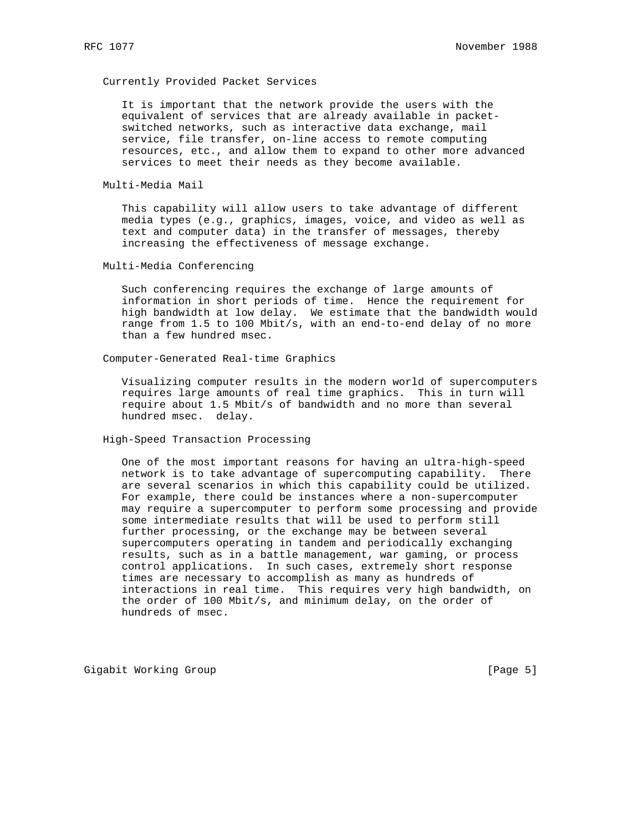## Currently Provided Packet Services

 It is important that the network provide the users with the equivalent of services that are already available in packet switched networks, such as interactive data exchange, mail service, file transfer, on-line access to remote computing resources, etc., and allow them to expand to other more advanced services to meet their needs as they become available.

Multi-Media Mail

 This capability will allow users to take advantage of different media types (e.g., graphics, images, voice, and video as well as text and computer data) in the transfer of messages, thereby increasing the effectiveness of message exchange.

Multi-Media Conferencing

 Such conferencing requires the exchange of large amounts of information in short periods of time. Hence the requirement for high bandwidth at low delay. We estimate that the bandwidth would range from 1.5 to 100 Mbit/s, with an end-to-end delay of no more than a few hundred msec.

Computer-Generated Real-time Graphics

 Visualizing computer results in the modern world of supercomputers requires large amounts of real time graphics. This in turn will require about 1.5 Mbit/s of bandwidth and no more than several hundred msec. delay.

High-Speed Transaction Processing

 One of the most important reasons for having an ultra-high-speed network is to take advantage of supercomputing capability. There are several scenarios in which this capability could be utilized. For example, there could be instances where a non-supercomputer may require a supercomputer to perform some processing and provide some intermediate results that will be used to perform still further processing, or the exchange may be between several supercomputers operating in tandem and periodically exchanging results, such as in a battle management, war gaming, or process control applications. In such cases, extremely short response times are necessary to accomplish as many as hundreds of interactions in real time. This requires very high bandwidth, on the order of 100 Mbit/s, and minimum delay, on the order of hundreds of msec.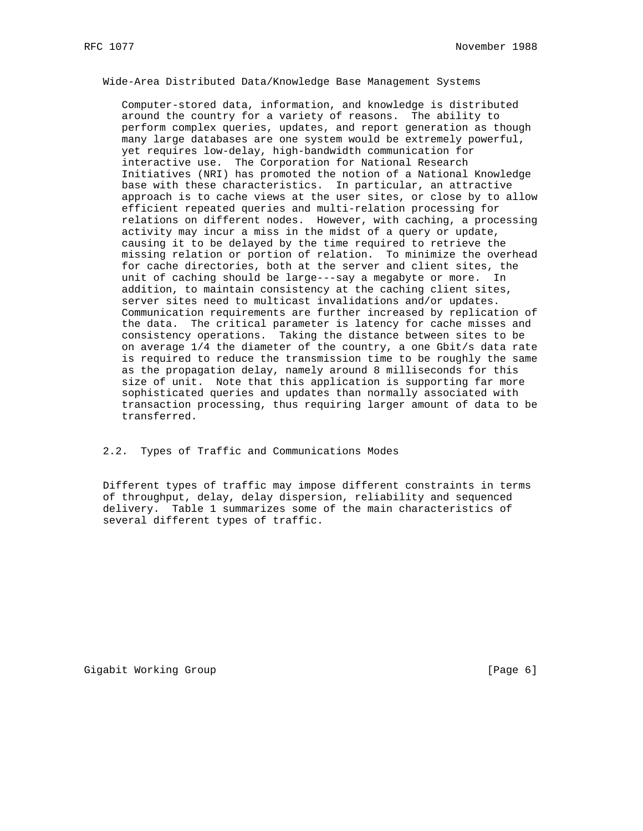Wide-Area Distributed Data/Knowledge Base Management Systems

 Computer-stored data, information, and knowledge is distributed around the country for a variety of reasons. The ability to perform complex queries, updates, and report generation as though many large databases are one system would be extremely powerful, yet requires low-delay, high-bandwidth communication for interactive use. The Corporation for National Research Initiatives (NRI) has promoted the notion of a National Knowledge base with these characteristics. In particular, an attractive approach is to cache views at the user sites, or close by to allow efficient repeated queries and multi-relation processing for relations on different nodes. However, with caching, a processing activity may incur a miss in the midst of a query or update, causing it to be delayed by the time required to retrieve the missing relation or portion of relation. To minimize the overhead for cache directories, both at the server and client sites, the unit of caching should be large---say a megabyte or more. In addition, to maintain consistency at the caching client sites, server sites need to multicast invalidations and/or updates. Communication requirements are further increased by replication of the data. The critical parameter is latency for cache misses and consistency operations. Taking the distance between sites to be on average 1/4 the diameter of the country, a one Gbit/s data rate is required to reduce the transmission time to be roughly the same as the propagation delay, namely around 8 milliseconds for this size of unit. Note that this application is supporting far more sophisticated queries and updates than normally associated with transaction processing, thus requiring larger amount of data to be transferred.

2.2. Types of Traffic and Communications Modes

 Different types of traffic may impose different constraints in terms of throughput, delay, delay dispersion, reliability and sequenced delivery. Table 1 summarizes some of the main characteristics of several different types of traffic.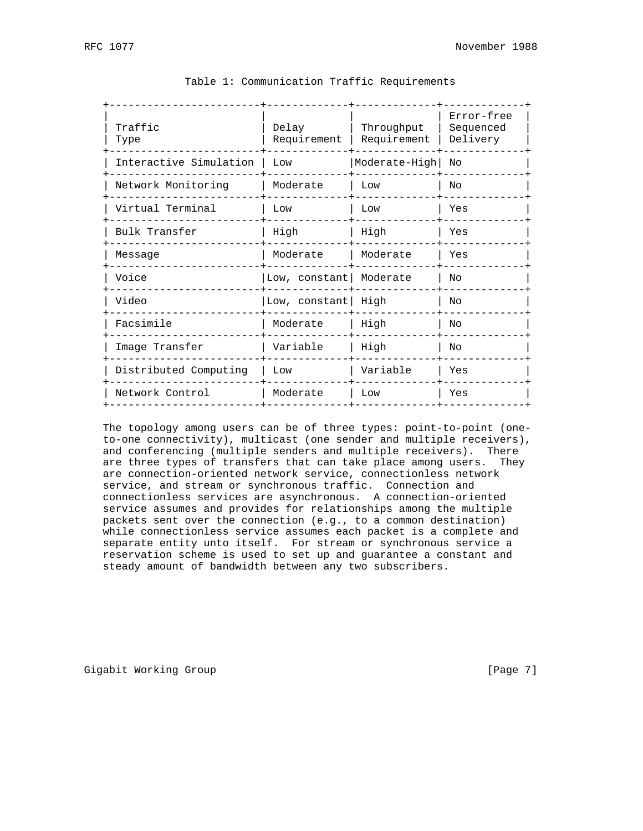| Traffic<br>Type        | Delay<br>Requirement | Throughput<br>Requirement | Error-free<br>Sequenced<br>Delivery |
|------------------------|----------------------|---------------------------|-------------------------------------|
| Interactive Simulation | Low                  | Moderate-High             | Nο                                  |
| Network Monitoring     | Moderate             | Low                       | N <sub>O</sub>                      |
| Virtual Terminal       | Low                  | Low                       | Yes                                 |
| Bulk Transfer          | High                 | High                      | Yes                                 |
| Message                | Moderate             | Moderate                  | Yes                                 |
| Voice                  | Low, constant        | Moderate                  | Nο                                  |
| Video                  | Low, constant        | High                      | NΟ                                  |
| Facsimile              | Moderate             | High                      | NΟ                                  |
| Image Transfer         | Variable             | High                      | NΟ                                  |
| Distributed Computing  | Low                  | Variable                  | Yes                                 |
| Network Control        | Moderate             | Low                       | Yes                                 |

### Table 1: Communication Traffic Requirements

 The topology among users can be of three types: point-to-point (one to-one connectivity), multicast (one sender and multiple receivers), and conferencing (multiple senders and multiple receivers). There are three types of transfers that can take place among users. They are connection-oriented network service, connectionless network service, and stream or synchronous traffic. Connection and connectionless services are asynchronous. A connection-oriented service assumes and provides for relationships among the multiple packets sent over the connection (e.g., to a common destination) while connectionless service assumes each packet is a complete and separate entity unto itself. For stream or synchronous service a reservation scheme is used to set up and guarantee a constant and steady amount of bandwidth between any two subscribers.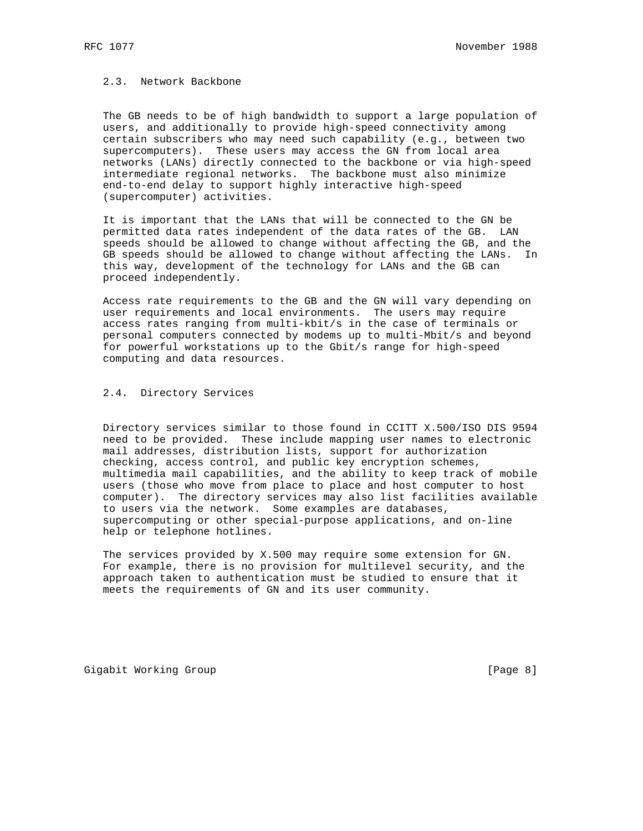2.3. Network Backbone

 The GB needs to be of high bandwidth to support a large population of users, and additionally to provide high-speed connectivity among certain subscribers who may need such capability (e.g., between two supercomputers). These users may access the GN from local area networks (LANs) directly connected to the backbone or via high-speed intermediate regional networks. The backbone must also minimize end-to-end delay to support highly interactive high-speed (supercomputer) activities.

 It is important that the LANs that will be connected to the GN be permitted data rates independent of the data rates of the GB. LAN speeds should be allowed to change without affecting the GB, and the GB speeds should be allowed to change without affecting the LANs. In this way, development of the technology for LANs and the GB can proceed independently.

 Access rate requirements to the GB and the GN will vary depending on user requirements and local environments. The users may require access rates ranging from multi-kbit/s in the case of terminals or personal computers connected by modems up to multi-Mbit/s and beyond for powerful workstations up to the Gbit/s range for high-speed computing and data resources.

2.4. Directory Services

 Directory services similar to those found in CCITT X.500/ISO DIS 9594 need to be provided. These include mapping user names to electronic mail addresses, distribution lists, support for authorization checking, access control, and public key encryption schemes, multimedia mail capabilities, and the ability to keep track of mobile users (those who move from place to place and host computer to host computer). The directory services may also list facilities available to users via the network. Some examples are databases, supercomputing or other special-purpose applications, and on-line help or telephone hotlines.

 The services provided by X.500 may require some extension for GN. For example, there is no provision for multilevel security, and the approach taken to authentication must be studied to ensure that it meets the requirements of GN and its user community.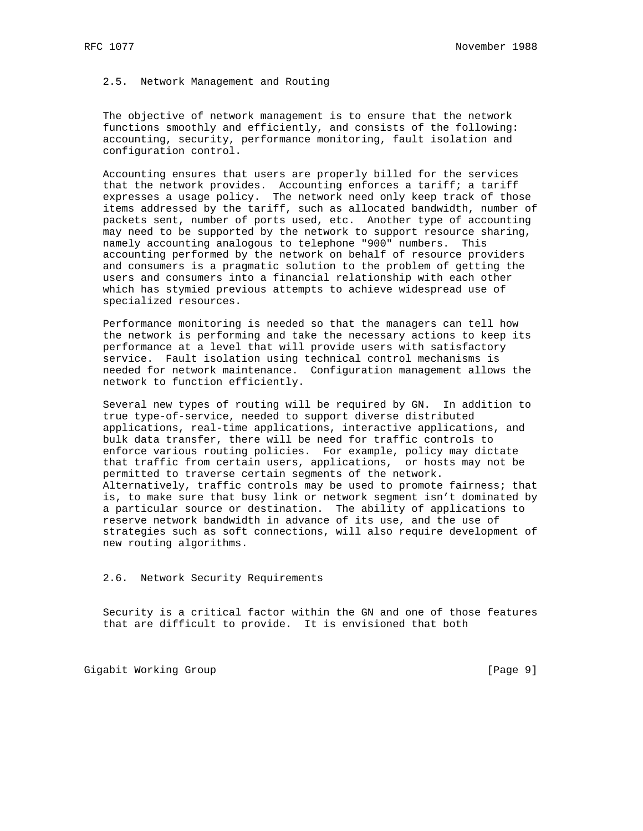### 2.5. Network Management and Routing

 The objective of network management is to ensure that the network functions smoothly and efficiently, and consists of the following: accounting, security, performance monitoring, fault isolation and configuration control.

 Accounting ensures that users are properly billed for the services that the network provides. Accounting enforces a tariff; a tariff expresses a usage policy. The network need only keep track of those items addressed by the tariff, such as allocated bandwidth, number of packets sent, number of ports used, etc. Another type of accounting may need to be supported by the network to support resource sharing, namely accounting analogous to telephone "900" numbers. This accounting performed by the network on behalf of resource providers and consumers is a pragmatic solution to the problem of getting the users and consumers into a financial relationship with each other which has stymied previous attempts to achieve widespread use of specialized resources.

 Performance monitoring is needed so that the managers can tell how the network is performing and take the necessary actions to keep its performance at a level that will provide users with satisfactory service. Fault isolation using technical control mechanisms is needed for network maintenance. Configuration management allows the network to function efficiently.

 Several new types of routing will be required by GN. In addition to true type-of-service, needed to support diverse distributed applications, real-time applications, interactive applications, and bulk data transfer, there will be need for traffic controls to enforce various routing policies. For example, policy may dictate that traffic from certain users, applications, or hosts may not be permitted to traverse certain segments of the network. Alternatively, traffic controls may be used to promote fairness; that is, to make sure that busy link or network segment isn't dominated by a particular source or destination. The ability of applications to reserve network bandwidth in advance of its use, and the use of strategies such as soft connections, will also require development of new routing algorithms.

2.6. Network Security Requirements

 Security is a critical factor within the GN and one of those features that are difficult to provide. It is envisioned that both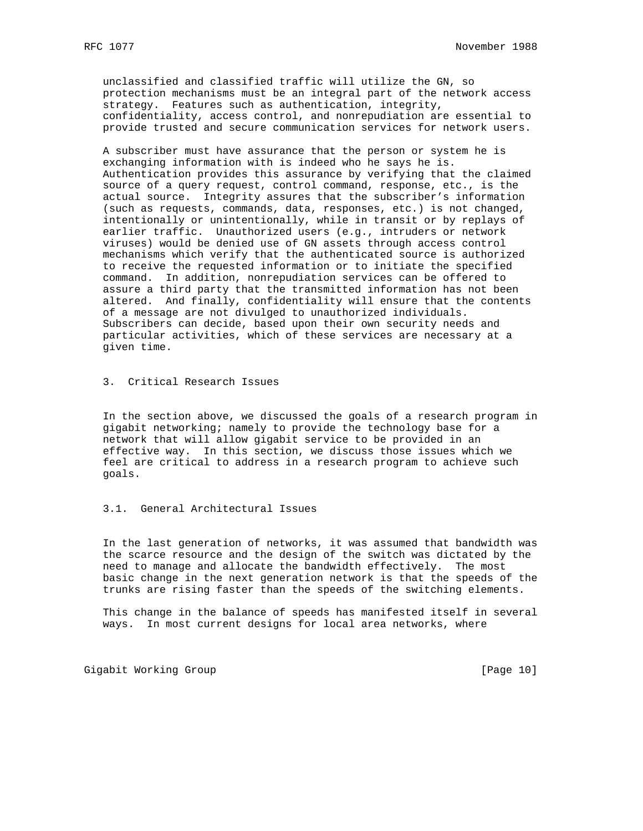unclassified and classified traffic will utilize the GN, so protection mechanisms must be an integral part of the network access strategy. Features such as authentication, integrity, confidentiality, access control, and nonrepudiation are essential to provide trusted and secure communication services for network users.

 A subscriber must have assurance that the person or system he is exchanging information with is indeed who he says he is. Authentication provides this assurance by verifying that the claimed source of a query request, control command, response, etc., is the actual source. Integrity assures that the subscriber's information (such as requests, commands, data, responses, etc.) is not changed, intentionally or unintentionally, while in transit or by replays of earlier traffic. Unauthorized users (e.g., intruders or network viruses) would be denied use of GN assets through access control mechanisms which verify that the authenticated source is authorized to receive the requested information or to initiate the specified command. In addition, nonrepudiation services can be offered to assure a third party that the transmitted information has not been altered. And finally, confidentiality will ensure that the contents of a message are not divulged to unauthorized individuals. Subscribers can decide, based upon their own security needs and particular activities, which of these services are necessary at a given time.

3. Critical Research Issues

 In the section above, we discussed the goals of a research program in gigabit networking; namely to provide the technology base for a network that will allow gigabit service to be provided in an effective way. In this section, we discuss those issues which we feel are critical to address in a research program to achieve such goals.

### 3.1. General Architectural Issues

 In the last generation of networks, it was assumed that bandwidth was the scarce resource and the design of the switch was dictated by the need to manage and allocate the bandwidth effectively. The most basic change in the next generation network is that the speeds of the trunks are rising faster than the speeds of the switching elements.

 This change in the balance of speeds has manifested itself in several ways. In most current designs for local area networks, where

Gigabit Working Group **by Communist Communist Communist Communist Communist Communist Communist Communist Communist Communist Communist Communist Communist Communist Communist Communist Communist Communist Communist Commun**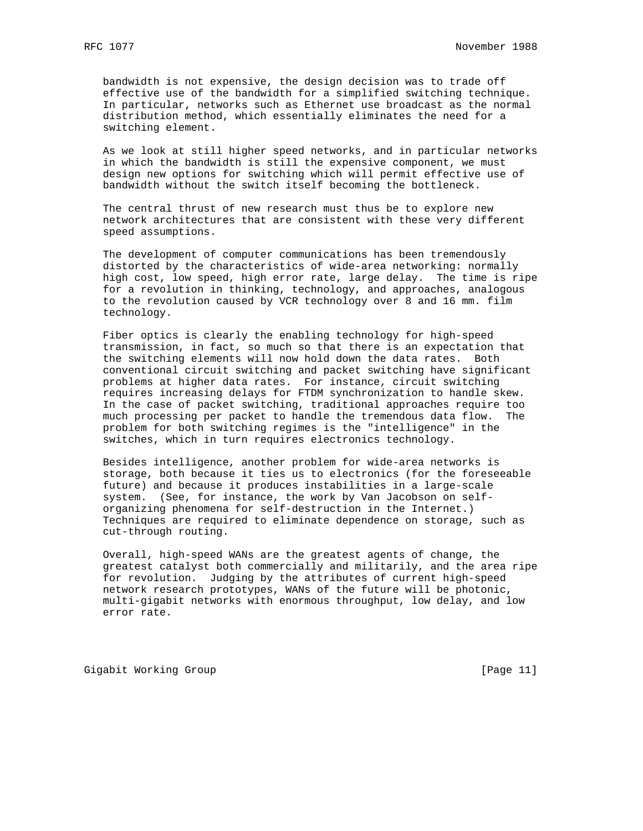bandwidth is not expensive, the design decision was to trade off effective use of the bandwidth for a simplified switching technique. In particular, networks such as Ethernet use broadcast as the normal distribution method, which essentially eliminates the need for a switching element.

 As we look at still higher speed networks, and in particular networks in which the bandwidth is still the expensive component, we must design new options for switching which will permit effective use of bandwidth without the switch itself becoming the bottleneck.

 The central thrust of new research must thus be to explore new network architectures that are consistent with these very different speed assumptions.

 The development of computer communications has been tremendously distorted by the characteristics of wide-area networking: normally high cost, low speed, high error rate, large delay. The time is ripe for a revolution in thinking, technology, and approaches, analogous to the revolution caused by VCR technology over 8 and 16 mm. film technology.

 Fiber optics is clearly the enabling technology for high-speed transmission, in fact, so much so that there is an expectation that the switching elements will now hold down the data rates. Both conventional circuit switching and packet switching have significant problems at higher data rates. For instance, circuit switching requires increasing delays for FTDM synchronization to handle skew. In the case of packet switching, traditional approaches require too much processing per packet to handle the tremendous data flow. The problem for both switching regimes is the "intelligence" in the switches, which in turn requires electronics technology.

 Besides intelligence, another problem for wide-area networks is storage, both because it ties us to electronics (for the foreseeable future) and because it produces instabilities in a large-scale system. (See, for instance, the work by Van Jacobson on self organizing phenomena for self-destruction in the Internet.) Techniques are required to eliminate dependence on storage, such as cut-through routing.

 Overall, high-speed WANs are the greatest agents of change, the greatest catalyst both commercially and militarily, and the area ripe for revolution. Judging by the attributes of current high-speed network research prototypes, WANs of the future will be photonic, multi-gigabit networks with enormous throughput, low delay, and low error rate.

Gigabit Working Group **by Example 2018** [Page 11]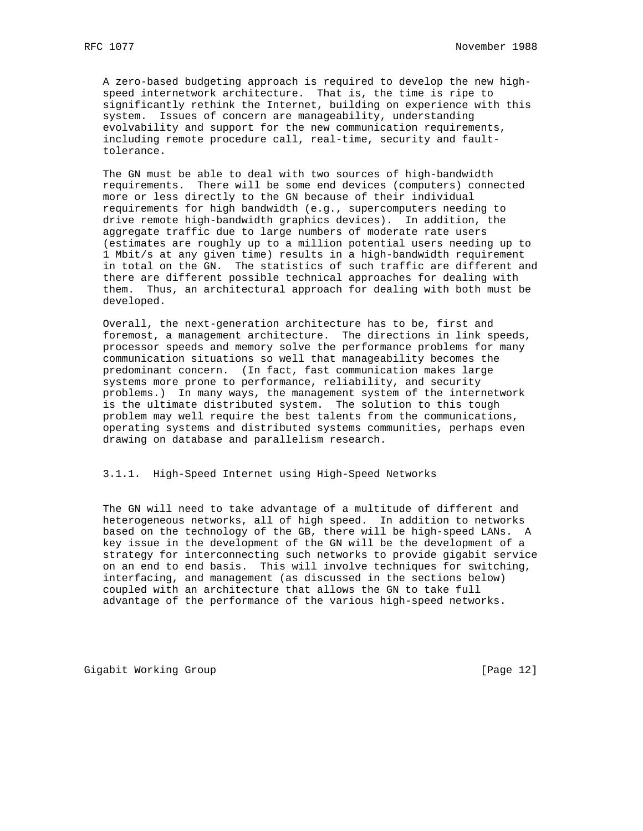A zero-based budgeting approach is required to develop the new high speed internetwork architecture. That is, the time is ripe to significantly rethink the Internet, building on experience with this system. Issues of concern are manageability, understanding evolvability and support for the new communication requirements, including remote procedure call, real-time, security and fault tolerance.

 The GN must be able to deal with two sources of high-bandwidth requirements. There will be some end devices (computers) connected more or less directly to the GN because of their individual requirements for high bandwidth (e.g., supercomputers needing to drive remote high-bandwidth graphics devices). In addition, the aggregate traffic due to large numbers of moderate rate users (estimates are roughly up to a million potential users needing up to 1 Mbit/s at any given time) results in a high-bandwidth requirement in total on the GN. The statistics of such traffic are different and there are different possible technical approaches for dealing with them. Thus, an architectural approach for dealing with both must be developed.

 Overall, the next-generation architecture has to be, first and foremost, a management architecture. The directions in link speeds, processor speeds and memory solve the performance problems for many communication situations so well that manageability becomes the predominant concern. (In fact, fast communication makes large systems more prone to performance, reliability, and security problems.) In many ways, the management system of the internetwork is the ultimate distributed system. The solution to this tough problem may well require the best talents from the communications, operating systems and distributed systems communities, perhaps even drawing on database and parallelism research.

## 3.1.1. High-Speed Internet using High-Speed Networks

 The GN will need to take advantage of a multitude of different and heterogeneous networks, all of high speed. In addition to networks based on the technology of the GB, there will be high-speed LANs. A key issue in the development of the GN will be the development of a strategy for interconnecting such networks to provide gigabit service on an end to end basis. This will involve techniques for switching, interfacing, and management (as discussed in the sections below) coupled with an architecture that allows the GN to take full advantage of the performance of the various high-speed networks.

Gigabit Working Group **by Example 2018** [Page 12]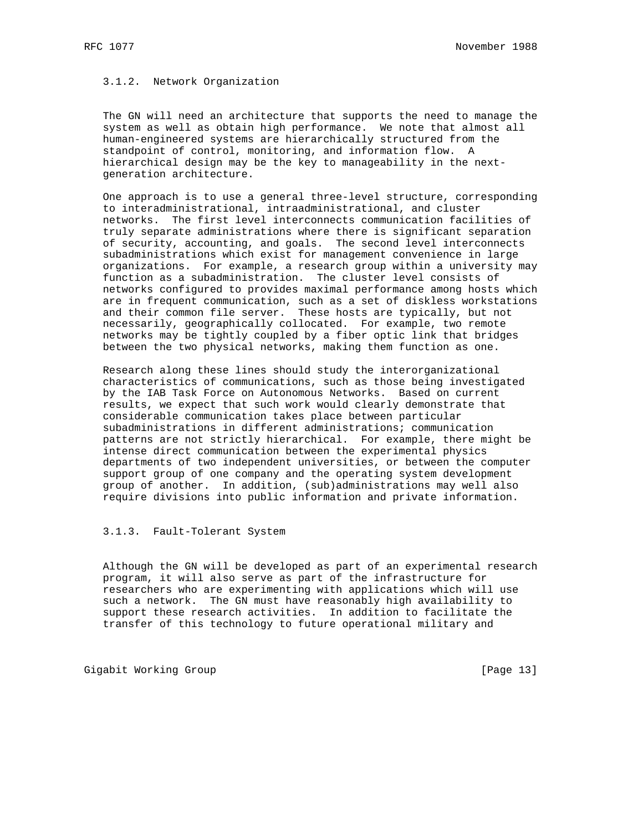# 3.1.2. Network Organization

 The GN will need an architecture that supports the need to manage the system as well as obtain high performance. We note that almost all human-engineered systems are hierarchically structured from the standpoint of control, monitoring, and information flow. A hierarchical design may be the key to manageability in the next generation architecture.

 One approach is to use a general three-level structure, corresponding to interadministrational, intraadministrational, and cluster networks. The first level interconnects communication facilities of truly separate administrations where there is significant separation of security, accounting, and goals. The second level interconnects subadministrations which exist for management convenience in large organizations. For example, a research group within a university may function as a subadministration. The cluster level consists of networks configured to provides maximal performance among hosts which are in frequent communication, such as a set of diskless workstations and their common file server. These hosts are typically, but not necessarily, geographically collocated. For example, two remote networks may be tightly coupled by a fiber optic link that bridges between the two physical networks, making them function as one.

 Research along these lines should study the interorganizational characteristics of communications, such as those being investigated by the IAB Task Force on Autonomous Networks. Based on current results, we expect that such work would clearly demonstrate that considerable communication takes place between particular subadministrations in different administrations; communication patterns are not strictly hierarchical. For example, there might be intense direct communication between the experimental physics departments of two independent universities, or between the computer support group of one company and the operating system development group of another. In addition, (sub)administrations may well also require divisions into public information and private information.

## 3.1.3. Fault-Tolerant System

 Although the GN will be developed as part of an experimental research program, it will also serve as part of the infrastructure for researchers who are experimenting with applications which will use such a network. The GN must have reasonably high availability to support these research activities. In addition to facilitate the transfer of this technology to future operational military and

Gigabit Working Group **by Communist Communist Communist Communist Communist Communist Communist Communist Communist Communist Communist Communist Communist Communist Communist Communist Communist Communist Communist Commun**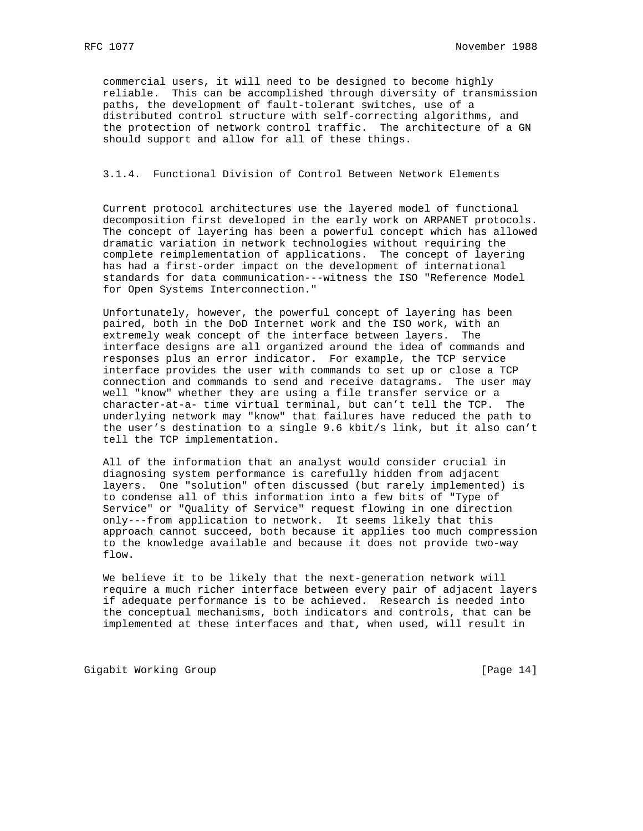commercial users, it will need to be designed to become highly reliable. This can be accomplished through diversity of transmission paths, the development of fault-tolerant switches, use of a distributed control structure with self-correcting algorithms, and the protection of network control traffic. The architecture of a GN should support and allow for all of these things.

### 3.1.4. Functional Division of Control Between Network Elements

 Current protocol architectures use the layered model of functional decomposition first developed in the early work on ARPANET protocols. The concept of layering has been a powerful concept which has allowed dramatic variation in network technologies without requiring the complete reimplementation of applications. The concept of layering has had a first-order impact on the development of international standards for data communication---witness the ISO "Reference Model for Open Systems Interconnection."

 Unfortunately, however, the powerful concept of layering has been paired, both in the DoD Internet work and the ISO work, with an extremely weak concept of the interface between layers. The interface designs are all organized around the idea of commands and responses plus an error indicator. For example, the TCP service interface provides the user with commands to set up or close a TCP connection and commands to send and receive datagrams. The user may well "know" whether they are using a file transfer service or a character-at-a- time virtual terminal, but can't tell the TCP. The underlying network may "know" that failures have reduced the path to the user's destination to a single 9.6 kbit/s link, but it also can't tell the TCP implementation.

 All of the information that an analyst would consider crucial in diagnosing system performance is carefully hidden from adjacent layers. One "solution" often discussed (but rarely implemented) is to condense all of this information into a few bits of "Type of Service" or "Quality of Service" request flowing in one direction only---from application to network. It seems likely that this approach cannot succeed, both because it applies too much compression to the knowledge available and because it does not provide two-way flow.

 We believe it to be likely that the next-generation network will require a much richer interface between every pair of adjacent layers if adequate performance is to be achieved. Research is needed into the conceptual mechanisms, both indicators and controls, that can be implemented at these interfaces and that, when used, will result in

Gigabit Working Group **by the Community Community** [Page 14]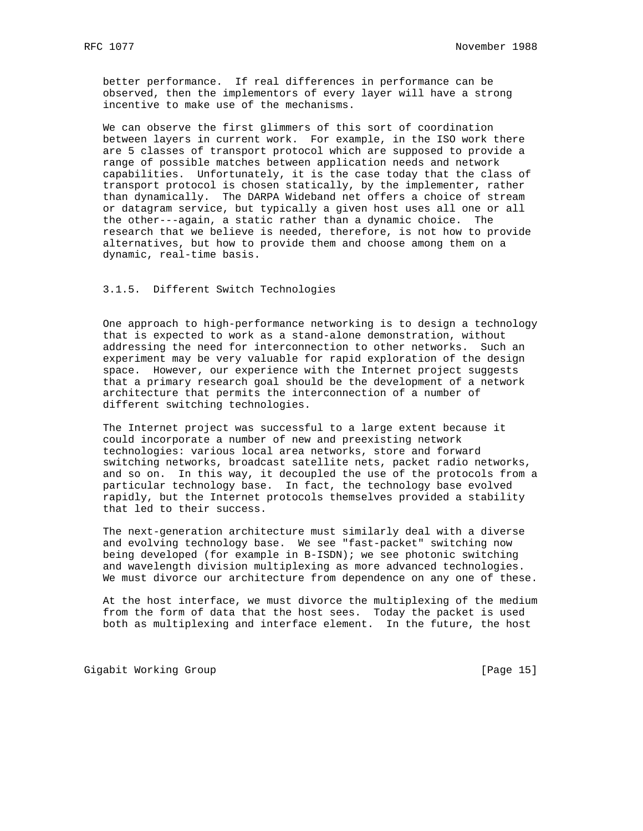better performance. If real differences in performance can be observed, then the implementors of every layer will have a strong incentive to make use of the mechanisms.

 We can observe the first glimmers of this sort of coordination between layers in current work. For example, in the ISO work there are 5 classes of transport protocol which are supposed to provide a range of possible matches between application needs and network capabilities. Unfortunately, it is the case today that the class of transport protocol is chosen statically, by the implementer, rather than dynamically. The DARPA Wideband net offers a choice of stream or datagram service, but typically a given host uses all one or all the other---again, a static rather than a dynamic choice. The research that we believe is needed, therefore, is not how to provide alternatives, but how to provide them and choose among them on a dynamic, real-time basis.

## 3.1.5. Different Switch Technologies

 One approach to high-performance networking is to design a technology that is expected to work as a stand-alone demonstration, without addressing the need for interconnection to other networks. Such an experiment may be very valuable for rapid exploration of the design space. However, our experience with the Internet project suggests that a primary research goal should be the development of a network architecture that permits the interconnection of a number of different switching technologies.

 The Internet project was successful to a large extent because it could incorporate a number of new and preexisting network technologies: various local area networks, store and forward switching networks, broadcast satellite nets, packet radio networks, and so on. In this way, it decoupled the use of the protocols from a particular technology base. In fact, the technology base evolved rapidly, but the Internet protocols themselves provided a stability that led to their success.

 The next-generation architecture must similarly deal with a diverse and evolving technology base. We see "fast-packet" switching now being developed (for example in B-ISDN); we see photonic switching and wavelength division multiplexing as more advanced technologies. We must divorce our architecture from dependence on any one of these.

 At the host interface, we must divorce the multiplexing of the medium from the form of data that the host sees. Today the packet is used both as multiplexing and interface element. In the future, the host

Gigabit Working Group **by Example 2012** [Page 15]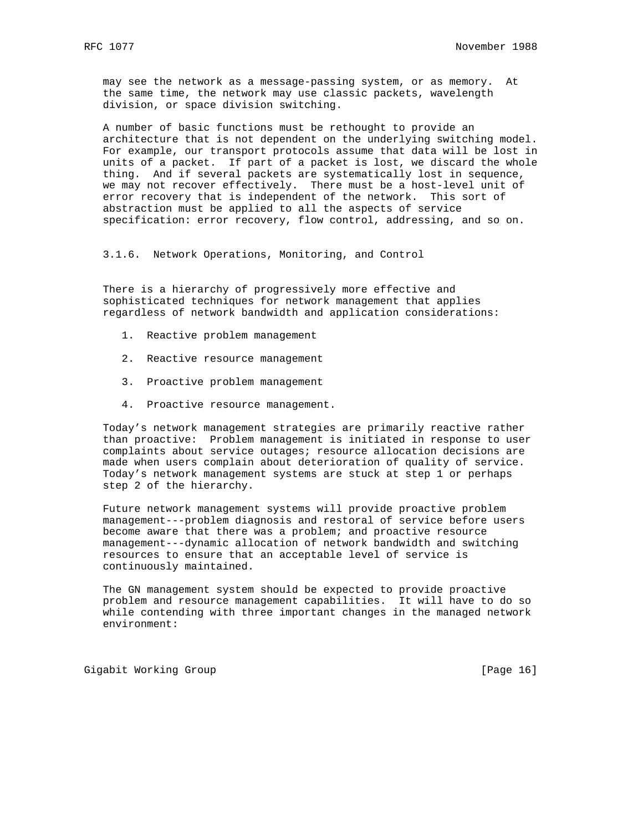may see the network as a message-passing system, or as memory. At the same time, the network may use classic packets, wavelength division, or space division switching.

 A number of basic functions must be rethought to provide an architecture that is not dependent on the underlying switching model. For example, our transport protocols assume that data will be lost in units of a packet. If part of a packet is lost, we discard the whole thing. And if several packets are systematically lost in sequence, we may not recover effectively. There must be a host-level unit of error recovery that is independent of the network. This sort of abstraction must be applied to all the aspects of service specification: error recovery, flow control, addressing, and so on.

3.1.6. Network Operations, Monitoring, and Control

 There is a hierarchy of progressively more effective and sophisticated techniques for network management that applies regardless of network bandwidth and application considerations:

- 1. Reactive problem management
- 2. Reactive resource management
- 3. Proactive problem management
- 4. Proactive resource management.

 Today's network management strategies are primarily reactive rather than proactive: Problem management is initiated in response to user complaints about service outages; resource allocation decisions are made when users complain about deterioration of quality of service. Today's network management systems are stuck at step 1 or perhaps step 2 of the hierarchy.

 Future network management systems will provide proactive problem management---problem diagnosis and restoral of service before users become aware that there was a problem; and proactive resource management---dynamic allocation of network bandwidth and switching resources to ensure that an acceptable level of service is continuously maintained.

 The GN management system should be expected to provide proactive problem and resource management capabilities. It will have to do so while contending with three important changes in the managed network environment:

Gigabit Working Group **by Example 2012** [Page 16]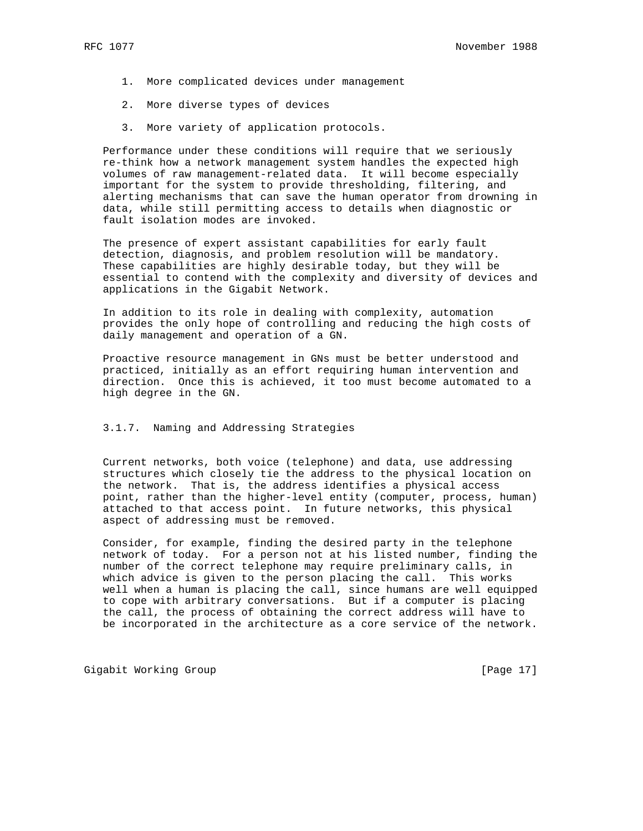- 1. More complicated devices under management
- 2. More diverse types of devices
- 3. More variety of application protocols.

 Performance under these conditions will require that we seriously re-think how a network management system handles the expected high volumes of raw management-related data. It will become especially important for the system to provide thresholding, filtering, and alerting mechanisms that can save the human operator from drowning in data, while still permitting access to details when diagnostic or fault isolation modes are invoked.

 The presence of expert assistant capabilities for early fault detection, diagnosis, and problem resolution will be mandatory. These capabilities are highly desirable today, but they will be essential to contend with the complexity and diversity of devices and applications in the Gigabit Network.

 In addition to its role in dealing with complexity, automation provides the only hope of controlling and reducing the high costs of daily management and operation of a GN.

 Proactive resource management in GNs must be better understood and practiced, initially as an effort requiring human intervention and direction. Once this is achieved, it too must become automated to a high degree in the GN.

## 3.1.7. Naming and Addressing Strategies

 Current networks, both voice (telephone) and data, use addressing structures which closely tie the address to the physical location on the network. That is, the address identifies a physical access point, rather than the higher-level entity (computer, process, human) attached to that access point. In future networks, this physical aspect of addressing must be removed.

 Consider, for example, finding the desired party in the telephone network of today. For a person not at his listed number, finding the number of the correct telephone may require preliminary calls, in which advice is given to the person placing the call. This works well when a human is placing the call, since humans are well equipped to cope with arbitrary conversations. But if a computer is placing the call, the process of obtaining the correct address will have to be incorporated in the architecture as a core service of the network.

Gigabit Working Group **by Example 2012** [Page 17]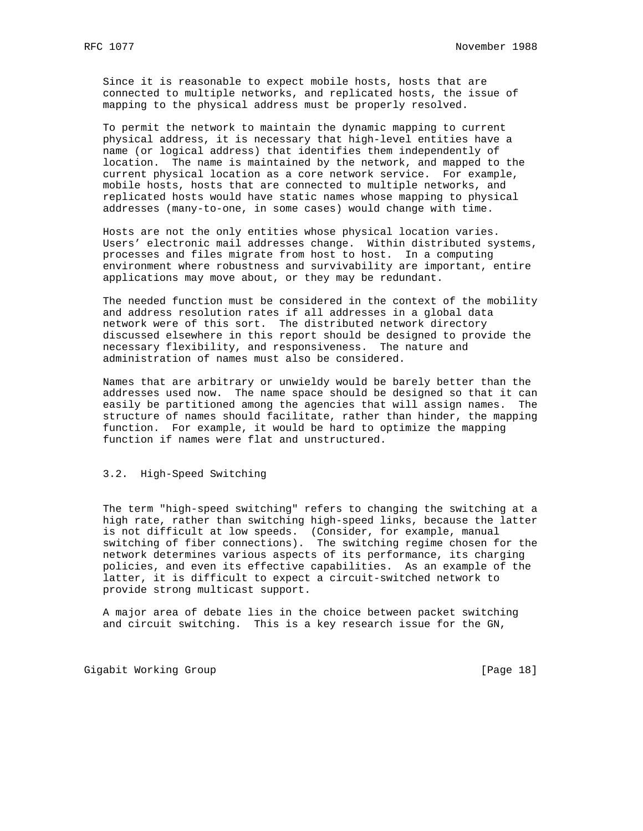Since it is reasonable to expect mobile hosts, hosts that are connected to multiple networks, and replicated hosts, the issue of mapping to the physical address must be properly resolved.

 To permit the network to maintain the dynamic mapping to current physical address, it is necessary that high-level entities have a name (or logical address) that identifies them independently of location. The name is maintained by the network, and mapped to the current physical location as a core network service. For example, mobile hosts, hosts that are connected to multiple networks, and replicated hosts would have static names whose mapping to physical addresses (many-to-one, in some cases) would change with time.

 Hosts are not the only entities whose physical location varies. Users' electronic mail addresses change. Within distributed systems, processes and files migrate from host to host. In a computing environment where robustness and survivability are important, entire applications may move about, or they may be redundant.

 The needed function must be considered in the context of the mobility and address resolution rates if all addresses in a global data network were of this sort. The distributed network directory discussed elsewhere in this report should be designed to provide the necessary flexibility, and responsiveness. The nature and administration of names must also be considered.

 Names that are arbitrary or unwieldy would be barely better than the addresses used now. The name space should be designed so that it can easily be partitioned among the agencies that will assign names. The structure of names should facilitate, rather than hinder, the mapping function. For example, it would be hard to optimize the mapping function if names were flat and unstructured.

### 3.2. High-Speed Switching

 The term "high-speed switching" refers to changing the switching at a high rate, rather than switching high-speed links, because the latter is not difficult at low speeds. (Consider, for example, manual switching of fiber connections). The switching regime chosen for the network determines various aspects of its performance, its charging policies, and even its effective capabilities. As an example of the latter, it is difficult to expect a circuit-switched network to provide strong multicast support.

 A major area of debate lies in the choice between packet switching and circuit switching. This is a key research issue for the GN,

Gigabit Working Group **by Example 2018** [Page 18]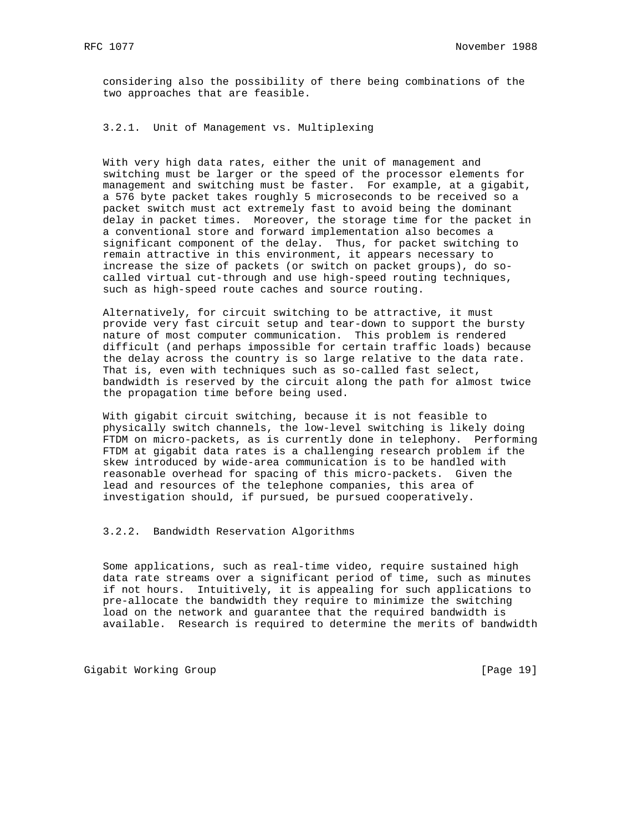considering also the possibility of there being combinations of the two approaches that are feasible.

3.2.1. Unit of Management vs. Multiplexing

 With very high data rates, either the unit of management and switching must be larger or the speed of the processor elements for management and switching must be faster. For example, at a gigabit, a 576 byte packet takes roughly 5 microseconds to be received so a packet switch must act extremely fast to avoid being the dominant delay in packet times. Moreover, the storage time for the packet in a conventional store and forward implementation also becomes a significant component of the delay. Thus, for packet switching to remain attractive in this environment, it appears necessary to increase the size of packets (or switch on packet groups), do so called virtual cut-through and use high-speed routing techniques, such as high-speed route caches and source routing.

 Alternatively, for circuit switching to be attractive, it must provide very fast circuit setup and tear-down to support the bursty nature of most computer communication. This problem is rendered difficult (and perhaps impossible for certain traffic loads) because the delay across the country is so large relative to the data rate. That is, even with techniques such as so-called fast select, bandwidth is reserved by the circuit along the path for almost twice the propagation time before being used.

 With gigabit circuit switching, because it is not feasible to physically switch channels, the low-level switching is likely doing FTDM on micro-packets, as is currently done in telephony. Performing FTDM at gigabit data rates is a challenging research problem if the skew introduced by wide-area communication is to be handled with reasonable overhead for spacing of this micro-packets. Given the lead and resources of the telephone companies, this area of investigation should, if pursued, be pursued cooperatively.

3.2.2. Bandwidth Reservation Algorithms

 Some applications, such as real-time video, require sustained high data rate streams over a significant period of time, such as minutes if not hours. Intuitively, it is appealing for such applications to pre-allocate the bandwidth they require to minimize the switching load on the network and guarantee that the required bandwidth is available. Research is required to determine the merits of bandwidth

Gigabit Working Group **by Example 2018** [Page 19]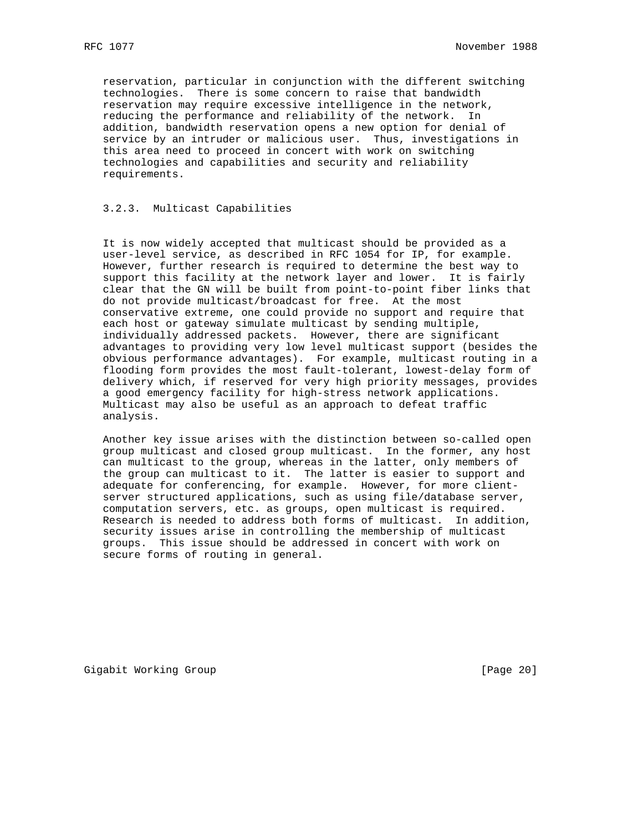reservation, particular in conjunction with the different switching technologies. There is some concern to raise that bandwidth reservation may require excessive intelligence in the network, reducing the performance and reliability of the network. In addition, bandwidth reservation opens a new option for denial of service by an intruder or malicious user. Thus, investigations in this area need to proceed in concert with work on switching technologies and capabilities and security and reliability requirements.

## 3.2.3. Multicast Capabilities

 It is now widely accepted that multicast should be provided as a user-level service, as described in RFC 1054 for IP, for example. However, further research is required to determine the best way to support this facility at the network layer and lower. It is fairly clear that the GN will be built from point-to-point fiber links that do not provide multicast/broadcast for free. At the most conservative extreme, one could provide no support and require that each host or gateway simulate multicast by sending multiple, individually addressed packets. However, there are significant advantages to providing very low level multicast support (besides the obvious performance advantages). For example, multicast routing in a flooding form provides the most fault-tolerant, lowest-delay form of delivery which, if reserved for very high priority messages, provides a good emergency facility for high-stress network applications. Multicast may also be useful as an approach to defeat traffic analysis.

 Another key issue arises with the distinction between so-called open group multicast and closed group multicast. In the former, any host can multicast to the group, whereas in the latter, only members of the group can multicast to it. The latter is easier to support and adequate for conferencing, for example. However, for more client server structured applications, such as using file/database server, computation servers, etc. as groups, open multicast is required. Research is needed to address both forms of multicast. In addition, security issues arise in controlling the membership of multicast groups. This issue should be addressed in concert with work on secure forms of routing in general.

Gigabit Working Group **by Communist Communist Communist Communist Communist Communist Communist Communist Communist Communist Communist Communist Communist Communist Communist Communist Communist Communist Communist Commun**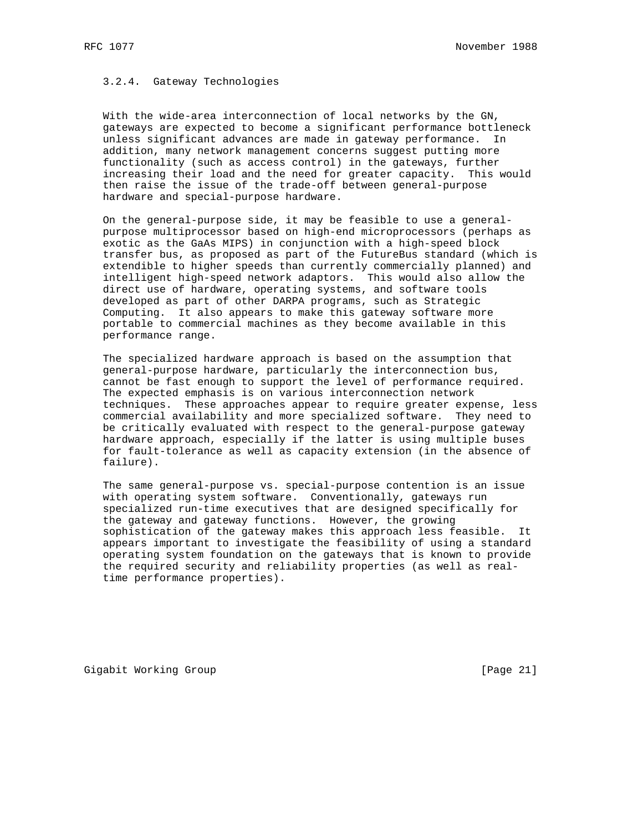## 3.2.4. Gateway Technologies

 With the wide-area interconnection of local networks by the GN, gateways are expected to become a significant performance bottleneck unless significant advances are made in gateway performance. In addition, many network management concerns suggest putting more functionality (such as access control) in the gateways, further increasing their load and the need for greater capacity. This would then raise the issue of the trade-off between general-purpose hardware and special-purpose hardware.

 On the general-purpose side, it may be feasible to use a general purpose multiprocessor based on high-end microprocessors (perhaps as exotic as the GaAs MIPS) in conjunction with a high-speed block transfer bus, as proposed as part of the FutureBus standard (which is extendible to higher speeds than currently commercially planned) and intelligent high-speed network adaptors. This would also allow the direct use of hardware, operating systems, and software tools developed as part of other DARPA programs, such as Strategic Computing. It also appears to make this gateway software more portable to commercial machines as they become available in this performance range.

 The specialized hardware approach is based on the assumption that general-purpose hardware, particularly the interconnection bus, cannot be fast enough to support the level of performance required. The expected emphasis is on various interconnection network techniques. These approaches appear to require greater expense, less commercial availability and more specialized software. They need to be critically evaluated with respect to the general-purpose gateway hardware approach, especially if the latter is using multiple buses for fault-tolerance as well as capacity extension (in the absence of failure).

 The same general-purpose vs. special-purpose contention is an issue with operating system software. Conventionally, gateways run specialized run-time executives that are designed specifically for the gateway and gateway functions. However, the growing sophistication of the gateway makes this approach less feasible. It appears important to investigate the feasibility of using a standard operating system foundation on the gateways that is known to provide the required security and reliability properties (as well as real time performance properties).

Gigabit Working Group **by Example 21** and the contract of  $[Page 21]$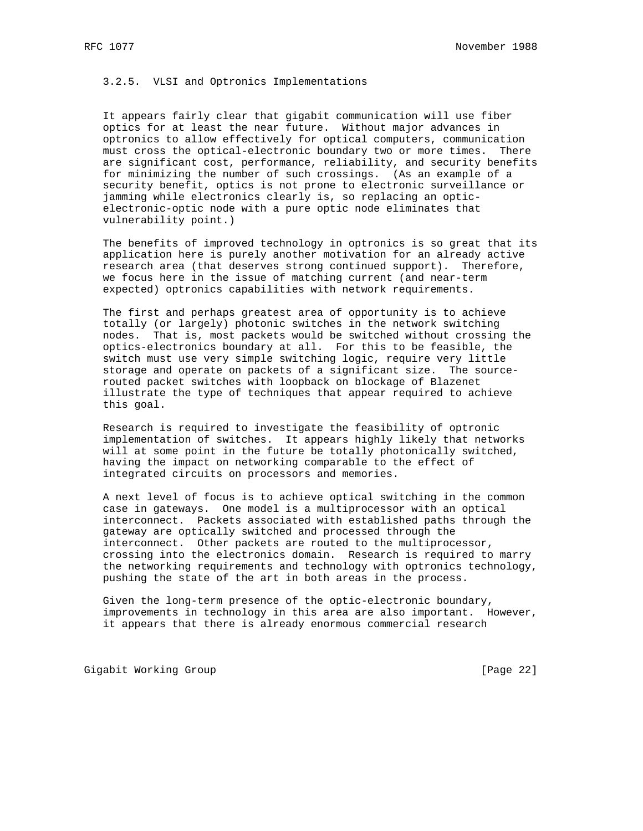3.2.5. VLSI and Optronics Implementations

 It appears fairly clear that gigabit communication will use fiber optics for at least the near future. Without major advances in optronics to allow effectively for optical computers, communication must cross the optical-electronic boundary two or more times. There are significant cost, performance, reliability, and security benefits for minimizing the number of such crossings. (As an example of a security benefit, optics is not prone to electronic surveillance or jamming while electronics clearly is, so replacing an optic electronic-optic node with a pure optic node eliminates that vulnerability point.)

 The benefits of improved technology in optronics is so great that its application here is purely another motivation for an already active research area (that deserves strong continued support). Therefore, we focus here in the issue of matching current (and near-term expected) optronics capabilities with network requirements.

 The first and perhaps greatest area of opportunity is to achieve totally (or largely) photonic switches in the network switching nodes. That is, most packets would be switched without crossing the optics-electronics boundary at all. For this to be feasible, the switch must use very simple switching logic, require very little storage and operate on packets of a significant size. The source routed packet switches with loopback on blockage of Blazenet illustrate the type of techniques that appear required to achieve this goal.

 Research is required to investigate the feasibility of optronic implementation of switches. It appears highly likely that networks will at some point in the future be totally photonically switched, having the impact on networking comparable to the effect of integrated circuits on processors and memories.

 A next level of focus is to achieve optical switching in the common case in gateways. One model is a multiprocessor with an optical interconnect. Packets associated with established paths through the gateway are optically switched and processed through the interconnect. Other packets are routed to the multiprocessor, crossing into the electronics domain. Research is required to marry the networking requirements and technology with optronics technology, pushing the state of the art in both areas in the process.

 Given the long-term presence of the optic-electronic boundary, improvements in technology in this area are also important. However, it appears that there is already enormous commercial research

Gigabit Working Group **by Example 22** and the contract of  $[Page 22]$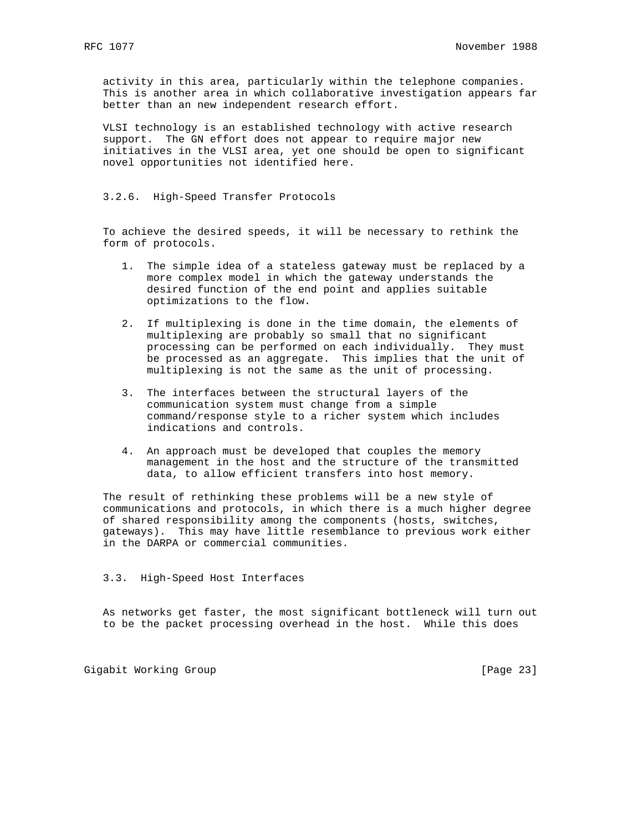activity in this area, particularly within the telephone companies. This is another area in which collaborative investigation appears far better than an new independent research effort.

 VLSI technology is an established technology with active research support. The GN effort does not appear to require major new initiatives in the VLSI area, yet one should be open to significant novel opportunities not identified here.

### 3.2.6. High-Speed Transfer Protocols

 To achieve the desired speeds, it will be necessary to rethink the form of protocols.

- 1. The simple idea of a stateless gateway must be replaced by a more complex model in which the gateway understands the desired function of the end point and applies suitable optimizations to the flow.
- 2. If multiplexing is done in the time domain, the elements of multiplexing are probably so small that no significant processing can be performed on each individually. They must be processed as an aggregate. This implies that the unit of multiplexing is not the same as the unit of processing.
- 3. The interfaces between the structural layers of the communication system must change from a simple command/response style to a richer system which includes indications and controls.
- 4. An approach must be developed that couples the memory management in the host and the structure of the transmitted data, to allow efficient transfers into host memory.

 The result of rethinking these problems will be a new style of communications and protocols, in which there is a much higher degree of shared responsibility among the components (hosts, switches, gateways). This may have little resemblance to previous work either in the DARPA or commercial communities.

#### 3.3. High-Speed Host Interfaces

 As networks get faster, the most significant bottleneck will turn out to be the packet processing overhead in the host. While this does

Gigabit Working Group **by Example 23** and Contract Contract Contract Contract Contract Contract Contract Contract Contract Contract Contract Contract Contract Contract Contract Contract Contract Contract Contract Contract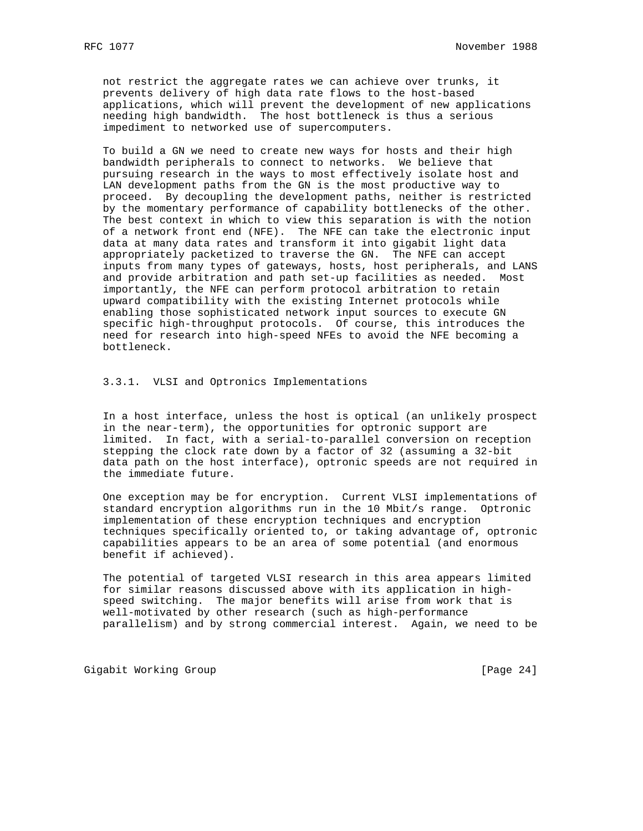not restrict the aggregate rates we can achieve over trunks, it prevents delivery of high data rate flows to the host-based applications, which will prevent the development of new applications needing high bandwidth. The host bottleneck is thus a serious impediment to networked use of supercomputers.

 To build a GN we need to create new ways for hosts and their high bandwidth peripherals to connect to networks. We believe that pursuing research in the ways to most effectively isolate host and LAN development paths from the GN is the most productive way to proceed. By decoupling the development paths, neither is restricted by the momentary performance of capability bottlenecks of the other. The best context in which to view this separation is with the notion of a network front end (NFE). The NFE can take the electronic input data at many data rates and transform it into gigabit light data appropriately packetized to traverse the GN. The NFE can accept inputs from many types of gateways, hosts, host peripherals, and LANS and provide arbitration and path set-up facilities as needed. Most importantly, the NFE can perform protocol arbitration to retain upward compatibility with the existing Internet protocols while enabling those sophisticated network input sources to execute GN specific high-throughput protocols. Of course, this introduces the need for research into high-speed NFEs to avoid the NFE becoming a bottleneck.

3.3.1. VLSI and Optronics Implementations

 In a host interface, unless the host is optical (an unlikely prospect in the near-term), the opportunities for optronic support are limited. In fact, with a serial-to-parallel conversion on reception stepping the clock rate down by a factor of 32 (assuming a 32-bit data path on the host interface), optronic speeds are not required in the immediate future.

 One exception may be for encryption. Current VLSI implementations of standard encryption algorithms run in the 10 Mbit/s range. Optronic implementation of these encryption techniques and encryption techniques specifically oriented to, or taking advantage of, optronic capabilities appears to be an area of some potential (and enormous benefit if achieved).

 The potential of targeted VLSI research in this area appears limited for similar reasons discussed above with its application in high speed switching. The major benefits will arise from work that is well-motivated by other research (such as high-performance parallelism) and by strong commercial interest. Again, we need to be

Gigabit Working Group **by Example 24** and Contract Contract Contract Contract Contract Contract Contract Contract Contract Contract Contract Contract Contract Contract Contract Contract Contract Contract Contract Contract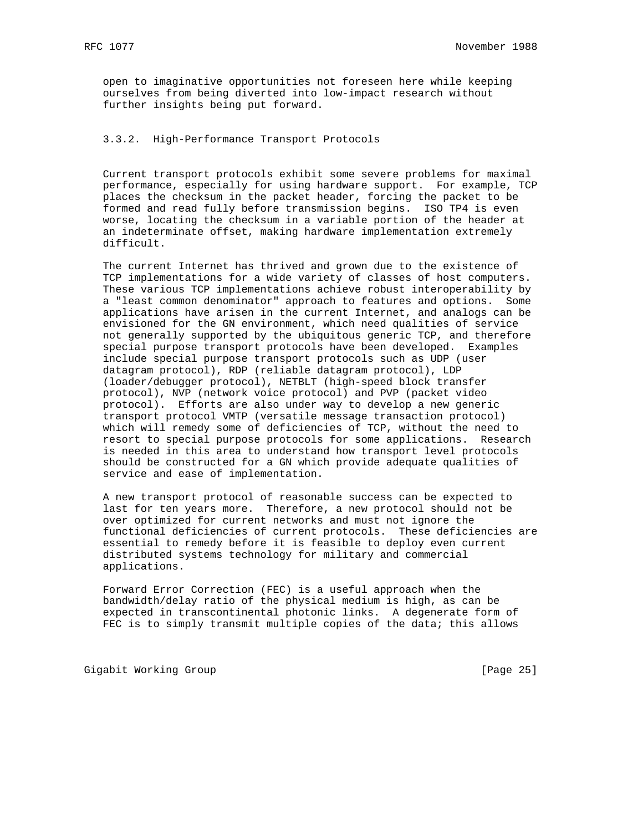open to imaginative opportunities not foreseen here while keeping ourselves from being diverted into low-impact research without further insights being put forward.

## 3.3.2. High-Performance Transport Protocols

 Current transport protocols exhibit some severe problems for maximal performance, especially for using hardware support. For example, TCP places the checksum in the packet header, forcing the packet to be formed and read fully before transmission begins. ISO TP4 is even worse, locating the checksum in a variable portion of the header at an indeterminate offset, making hardware implementation extremely difficult.

 The current Internet has thrived and grown due to the existence of TCP implementations for a wide variety of classes of host computers. These various TCP implementations achieve robust interoperability by a "least common denominator" approach to features and options. Some applications have arisen in the current Internet, and analogs can be envisioned for the GN environment, which need qualities of service not generally supported by the ubiquitous generic TCP, and therefore special purpose transport protocols have been developed. Examples include special purpose transport protocols such as UDP (user datagram protocol), RDP (reliable datagram protocol), LDP (loader/debugger protocol), NETBLT (high-speed block transfer protocol), NVP (network voice protocol) and PVP (packet video protocol). Efforts are also under way to develop a new generic transport protocol VMTP (versatile message transaction protocol) which will remedy some of deficiencies of TCP, without the need to resort to special purpose protocols for some applications. Research is needed in this area to understand how transport level protocols should be constructed for a GN which provide adequate qualities of service and ease of implementation.

 A new transport protocol of reasonable success can be expected to last for ten years more. Therefore, a new protocol should not be over optimized for current networks and must not ignore the functional deficiencies of current protocols. These deficiencies are essential to remedy before it is feasible to deploy even current distributed systems technology for military and commercial applications.

 Forward Error Correction (FEC) is a useful approach when the bandwidth/delay ratio of the physical medium is high, as can be expected in transcontinental photonic links. A degenerate form of FEC is to simply transmit multiple copies of the data; this allows

Gigabit Working Group **by Example 25** and Contract Contract Contract Contract Contract Contract Contract Contract Contract Contract Contract Contract Contract Contract Contract Contract Contract Contract Contract Contract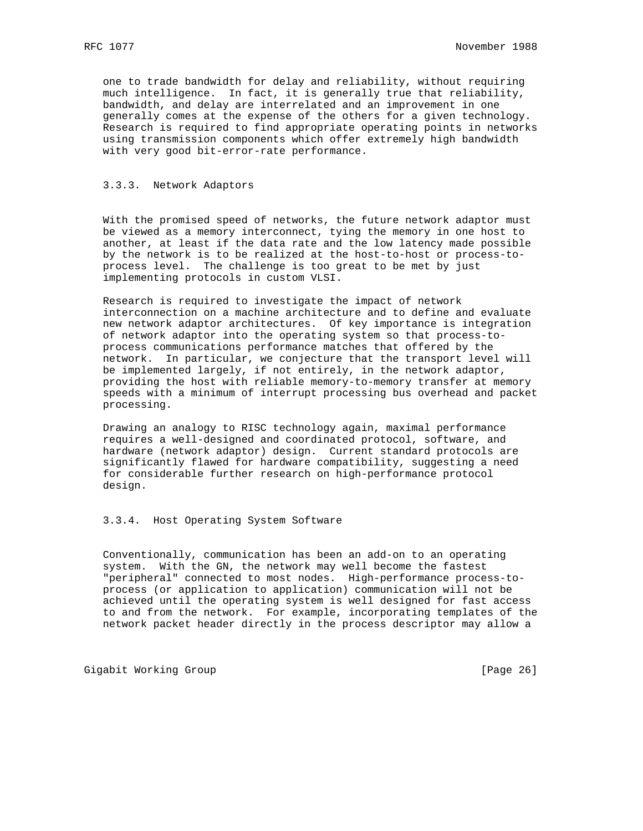one to trade bandwidth for delay and reliability, without requiring much intelligence. In fact, it is generally true that reliability, bandwidth, and delay are interrelated and an improvement in one generally comes at the expense of the others for a given technology. Research is required to find appropriate operating points in networks using transmission components which offer extremely high bandwidth with very good bit-error-rate performance.

### 3.3.3. Network Adaptors

 With the promised speed of networks, the future network adaptor must be viewed as a memory interconnect, tying the memory in one host to another, at least if the data rate and the low latency made possible by the network is to be realized at the host-to-host or process-to process level. The challenge is too great to be met by just implementing protocols in custom VLSI.

 Research is required to investigate the impact of network interconnection on a machine architecture and to define and evaluate new network adaptor architectures. Of key importance is integration of network adaptor into the operating system so that process-to process communications performance matches that offered by the network. In particular, we conjecture that the transport level will be implemented largely, if not entirely, in the network adaptor, providing the host with reliable memory-to-memory transfer at memory speeds with a minimum of interrupt processing bus overhead and packet processing.

 Drawing an analogy to RISC technology again, maximal performance requires a well-designed and coordinated protocol, software, and hardware (network adaptor) design. Current standard protocols are significantly flawed for hardware compatibility, suggesting a need for considerable further research on high-performance protocol design.

3.3.4. Host Operating System Software

 Conventionally, communication has been an add-on to an operating system. With the GN, the network may well become the fastest "peripheral" connected to most nodes. High-performance process-to process (or application to application) communication will not be achieved until the operating system is well designed for fast access to and from the network. For example, incorporating templates of the network packet header directly in the process descriptor may allow a

Gigabit Working Group **by Example 26** and Contract Contract Contract Contract Contract Contract Contract Contract Contract Contract Contract Contract Contract Contract Contract Contract Contract Contract Contract Contract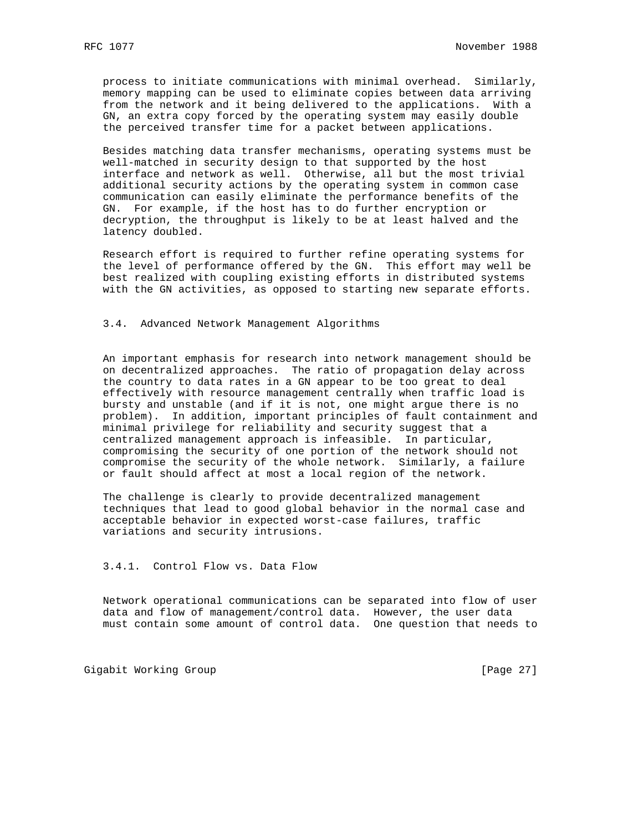process to initiate communications with minimal overhead. Similarly, memory mapping can be used to eliminate copies between data arriving from the network and it being delivered to the applications. With a GN, an extra copy forced by the operating system may easily double the perceived transfer time for a packet between applications.

 Besides matching data transfer mechanisms, operating systems must be well-matched in security design to that supported by the host interface and network as well. Otherwise, all but the most trivial additional security actions by the operating system in common case communication can easily eliminate the performance benefits of the GN. For example, if the host has to do further encryption or decryption, the throughput is likely to be at least halved and the latency doubled.

 Research effort is required to further refine operating systems for the level of performance offered by the GN. This effort may well be best realized with coupling existing efforts in distributed systems with the GN activities, as opposed to starting new separate efforts.

## 3.4. Advanced Network Management Algorithms

 An important emphasis for research into network management should be on decentralized approaches. The ratio of propagation delay across the country to data rates in a GN appear to be too great to deal effectively with resource management centrally when traffic load is bursty and unstable (and if it is not, one might argue there is no problem). In addition, important principles of fault containment and minimal privilege for reliability and security suggest that a centralized management approach is infeasible. In particular, compromising the security of one portion of the network should not compromise the security of the whole network. Similarly, a failure or fault should affect at most a local region of the network.

 The challenge is clearly to provide decentralized management techniques that lead to good global behavior in the normal case and acceptable behavior in expected worst-case failures, traffic variations and security intrusions.

#### 3.4.1. Control Flow vs. Data Flow

 Network operational communications can be separated into flow of user data and flow of management/control data. However, the user data must contain some amount of control data. One question that needs to

Gigabit Working Group **by Example 27** and the contract of  $[Page 27]$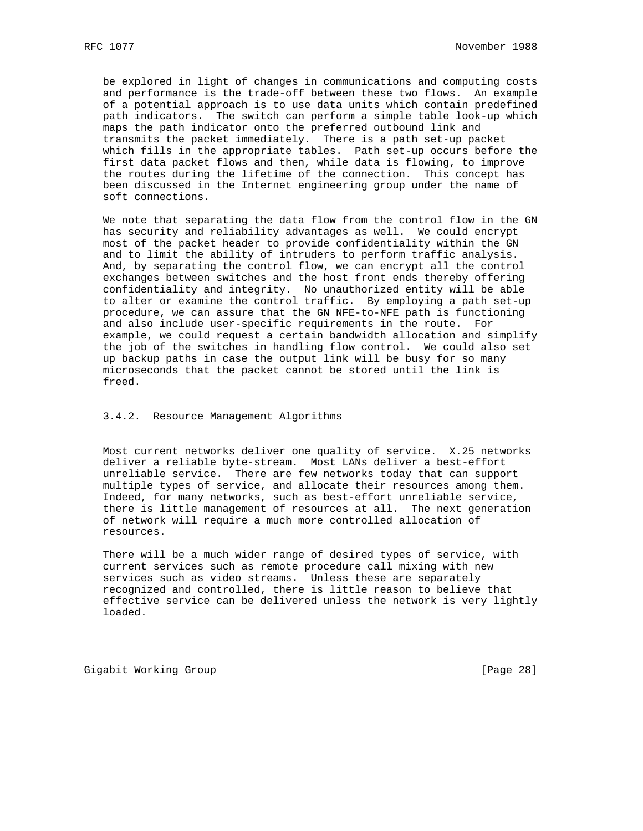be explored in light of changes in communications and computing costs and performance is the trade-off between these two flows. An example of a potential approach is to use data units which contain predefined path indicators. The switch can perform a simple table look-up which maps the path indicator onto the preferred outbound link and transmits the packet immediately. There is a path set-up packet which fills in the appropriate tables. Path set-up occurs before the first data packet flows and then, while data is flowing, to improve the routes during the lifetime of the connection. This concept has been discussed in the Internet engineering group under the name of soft connections.

 We note that separating the data flow from the control flow in the GN has security and reliability advantages as well. We could encrypt most of the packet header to provide confidentiality within the GN and to limit the ability of intruders to perform traffic analysis. And, by separating the control flow, we can encrypt all the control exchanges between switches and the host front ends thereby offering confidentiality and integrity. No unauthorized entity will be able to alter or examine the control traffic. By employing a path set-up procedure, we can assure that the GN NFE-to-NFE path is functioning and also include user-specific requirements in the route. For example, we could request a certain bandwidth allocation and simplify the job of the switches in handling flow control. We could also set up backup paths in case the output link will be busy for so many microseconds that the packet cannot be stored until the link is freed.

3.4.2. Resource Management Algorithms

 Most current networks deliver one quality of service. X.25 networks deliver a reliable byte-stream. Most LANs deliver a best-effort unreliable service. There are few networks today that can support multiple types of service, and allocate their resources among them. Indeed, for many networks, such as best-effort unreliable service, there is little management of resources at all. The next generation of network will require a much more controlled allocation of resources.

 There will be a much wider range of desired types of service, with current services such as remote procedure call mixing with new services such as video streams. Unless these are separately recognized and controlled, there is little reason to believe that effective service can be delivered unless the network is very lightly loaded.

Gigabit Working Group **by Communist Communist Communist Communist Communist Communist Communist Communist Communist Communist Communist Communist Communist Communist Communist Communist Communist Communist Communist Commun**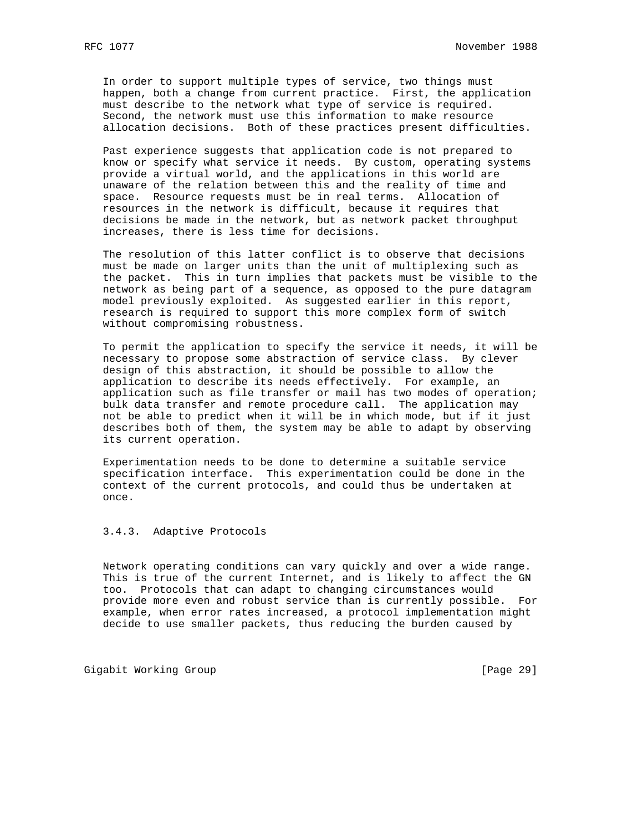In order to support multiple types of service, two things must happen, both a change from current practice. First, the application must describe to the network what type of service is required. Second, the network must use this information to make resource allocation decisions. Both of these practices present difficulties.

 Past experience suggests that application code is not prepared to know or specify what service it needs. By custom, operating systems provide a virtual world, and the applications in this world are unaware of the relation between this and the reality of time and space. Resource requests must be in real terms. Allocation of resources in the network is difficult, because it requires that decisions be made in the network, but as network packet throughput increases, there is less time for decisions.

 The resolution of this latter conflict is to observe that decisions must be made on larger units than the unit of multiplexing such as the packet. This in turn implies that packets must be visible to the network as being part of a sequence, as opposed to the pure datagram model previously exploited. As suggested earlier in this report, research is required to support this more complex form of switch without compromising robustness.

 To permit the application to specify the service it needs, it will be necessary to propose some abstraction of service class. By clever design of this abstraction, it should be possible to allow the application to describe its needs effectively. For example, an application such as file transfer or mail has two modes of operation; bulk data transfer and remote procedure call. The application may not be able to predict when it will be in which mode, but if it just describes both of them, the system may be able to adapt by observing its current operation.

 Experimentation needs to be done to determine a suitable service specification interface. This experimentation could be done in the context of the current protocols, and could thus be undertaken at once.

3.4.3. Adaptive Protocols

 Network operating conditions can vary quickly and over a wide range. This is true of the current Internet, and is likely to affect the GN too. Protocols that can adapt to changing circumstances would provide more even and robust service than is currently possible. For example, when error rates increased, a protocol implementation might decide to use smaller packets, thus reducing the burden caused by

Gigabit Working Group **by Communist Communist Communist Communist Communist Communist Communist Communist Communist Communist Communist Communist Communist Communist Communist Communist Communist Communist Communist Commun**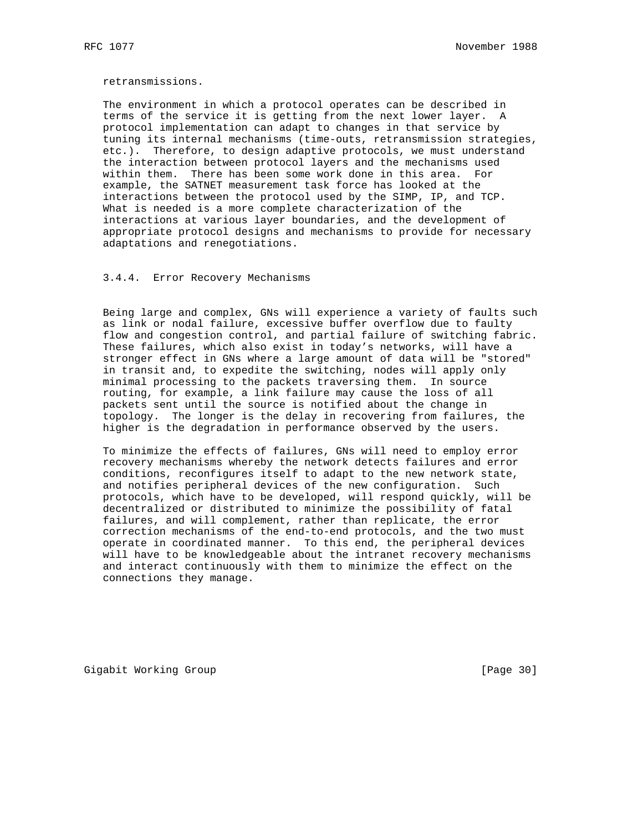retransmissions.

 The environment in which a protocol operates can be described in terms of the service it is getting from the next lower layer. A protocol implementation can adapt to changes in that service by tuning its internal mechanisms (time-outs, retransmission strategies, etc.). Therefore, to design adaptive protocols, we must understand the interaction between protocol layers and the mechanisms used within them. There has been some work done in this area. For example, the SATNET measurement task force has looked at the interactions between the protocol used by the SIMP, IP, and TCP. What is needed is a more complete characterization of the interactions at various layer boundaries, and the development of appropriate protocol designs and mechanisms to provide for necessary adaptations and renegotiations.

3.4.4. Error Recovery Mechanisms

 Being large and complex, GNs will experience a variety of faults such as link or nodal failure, excessive buffer overflow due to faulty flow and congestion control, and partial failure of switching fabric. These failures, which also exist in today's networks, will have a stronger effect in GNs where a large amount of data will be "stored" in transit and, to expedite the switching, nodes will apply only minimal processing to the packets traversing them. In source routing, for example, a link failure may cause the loss of all packets sent until the source is notified about the change in topology. The longer is the delay in recovering from failures, the higher is the degradation in performance observed by the users.

 To minimize the effects of failures, GNs will need to employ error recovery mechanisms whereby the network detects failures and error conditions, reconfigures itself to adapt to the new network state, and notifies peripheral devices of the new configuration. Such protocols, which have to be developed, will respond quickly, will be decentralized or distributed to minimize the possibility of fatal failures, and will complement, rather than replicate, the error correction mechanisms of the end-to-end protocols, and the two must operate in coordinated manner. To this end, the peripheral devices will have to be knowledgeable about the intranet recovery mechanisms and interact continuously with them to minimize the effect on the connections they manage.

Gigabit Working Group **by Example 2018** [Page 30]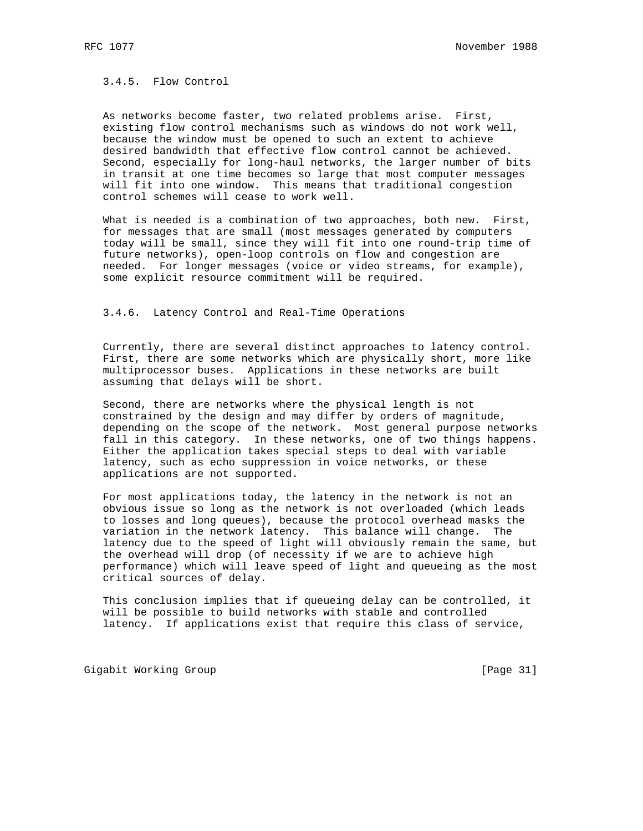3.4.5. Flow Control

 As networks become faster, two related problems arise. First, existing flow control mechanisms such as windows do not work well, because the window must be opened to such an extent to achieve desired bandwidth that effective flow control cannot be achieved. Second, especially for long-haul networks, the larger number of bits in transit at one time becomes so large that most computer messages will fit into one window. This means that traditional congestion control schemes will cease to work well.

 What is needed is a combination of two approaches, both new. First, for messages that are small (most messages generated by computers today will be small, since they will fit into one round-trip time of future networks), open-loop controls on flow and congestion are needed. For longer messages (voice or video streams, for example), some explicit resource commitment will be required.

3.4.6. Latency Control and Real-Time Operations

 Currently, there are several distinct approaches to latency control. First, there are some networks which are physically short, more like multiprocessor buses. Applications in these networks are built assuming that delays will be short.

 Second, there are networks where the physical length is not constrained by the design and may differ by orders of magnitude, depending on the scope of the network. Most general purpose networks fall in this category. In these networks, one of two things happens. Either the application takes special steps to deal with variable latency, such as echo suppression in voice networks, or these applications are not supported.

 For most applications today, the latency in the network is not an obvious issue so long as the network is not overloaded (which leads to losses and long queues), because the protocol overhead masks the variation in the network latency. This balance will change. The latency due to the speed of light will obviously remain the same, but the overhead will drop (of necessity if we are to achieve high performance) which will leave speed of light and queueing as the most critical sources of delay.

 This conclusion implies that if queueing delay can be controlled, it will be possible to build networks with stable and controlled latency. If applications exist that require this class of service,

Gigabit Working Group **by Communist Communist Communist Communist Communist Communist Communist Communist Communist Communist Communist Communist Communist Communist Communist Communist Communist Communist Communist Commun**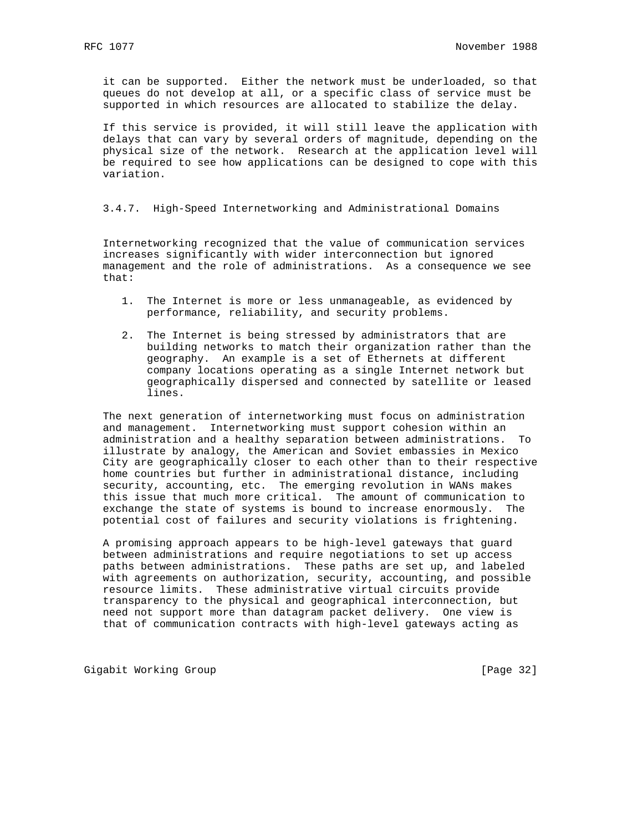it can be supported. Either the network must be underloaded, so that queues do not develop at all, or a specific class of service must be supported in which resources are allocated to stabilize the delay.

 If this service is provided, it will still leave the application with delays that can vary by several orders of magnitude, depending on the physical size of the network. Research at the application level will be required to see how applications can be designed to cope with this variation.

3.4.7. High-Speed Internetworking and Administrational Domains

 Internetworking recognized that the value of communication services increases significantly with wider interconnection but ignored management and the role of administrations. As a consequence we see that:

- 1. The Internet is more or less unmanageable, as evidenced by performance, reliability, and security problems.
- 2. The Internet is being stressed by administrators that are building networks to match their organization rather than the geography. An example is a set of Ethernets at different company locations operating as a single Internet network but geographically dispersed and connected by satellite or leased lines.

 The next generation of internetworking must focus on administration and management. Internetworking must support cohesion within an administration and a healthy separation between administrations. To illustrate by analogy, the American and Soviet embassies in Mexico City are geographically closer to each other than to their respective home countries but further in administrational distance, including security, accounting, etc. The emerging revolution in WANs makes this issue that much more critical. The amount of communication to exchange the state of systems is bound to increase enormously. The potential cost of failures and security violations is frightening.

 A promising approach appears to be high-level gateways that guard between administrations and require negotiations to set up access paths between administrations. These paths are set up, and labeled with agreements on authorization, security, accounting, and possible resource limits. These administrative virtual circuits provide transparency to the physical and geographical interconnection, but need not support more than datagram packet delivery. One view is that of communication contracts with high-level gateways acting as

Gigabit Working Group **by Example 2018** [Page 32]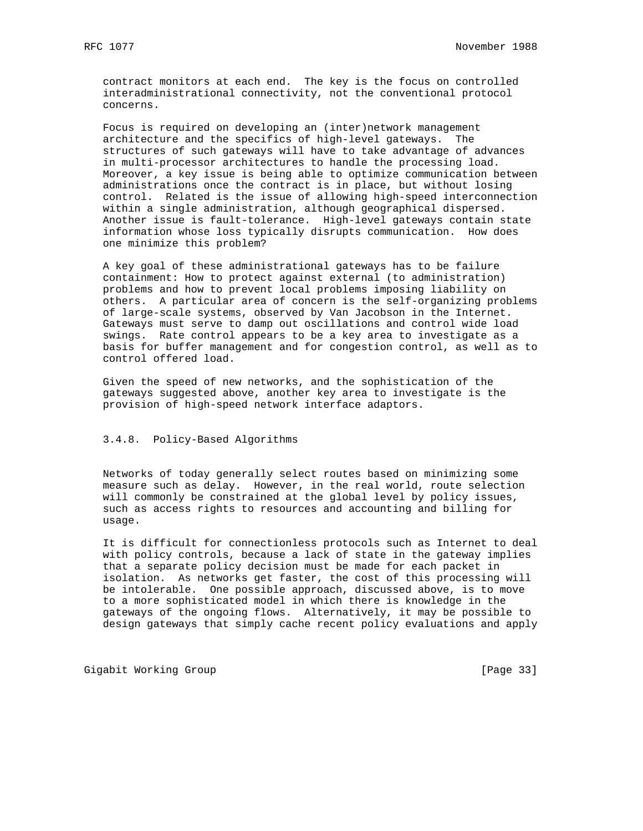contract monitors at each end. The key is the focus on controlled interadministrational connectivity, not the conventional protocol concerns.

 Focus is required on developing an (inter)network management architecture and the specifics of high-level gateways. The structures of such gateways will have to take advantage of advances in multi-processor architectures to handle the processing load. Moreover, a key issue is being able to optimize communication between administrations once the contract is in place, but without losing control. Related is the issue of allowing high-speed interconnection within a single administration, although geographical dispersed. Another issue is fault-tolerance. High-level gateways contain state information whose loss typically disrupts communication. How does one minimize this problem?

 A key goal of these administrational gateways has to be failure containment: How to protect against external (to administration) problems and how to prevent local problems imposing liability on others. A particular area of concern is the self-organizing problems of large-scale systems, observed by Van Jacobson in the Internet. Gateways must serve to damp out oscillations and control wide load swings. Rate control appears to be a key area to investigate as a basis for buffer management and for congestion control, as well as to control offered load.

 Given the speed of new networks, and the sophistication of the gateways suggested above, another key area to investigate is the provision of high-speed network interface adaptors.

## 3.4.8. Policy-Based Algorithms

 Networks of today generally select routes based on minimizing some measure such as delay. However, in the real world, route selection will commonly be constrained at the global level by policy issues, such as access rights to resources and accounting and billing for usage.

 It is difficult for connectionless protocols such as Internet to deal with policy controls, because a lack of state in the gateway implies that a separate policy decision must be made for each packet in isolation. As networks get faster, the cost of this processing will be intolerable. One possible approach, discussed above, is to move to a more sophisticated model in which there is knowledge in the gateways of the ongoing flows. Alternatively, it may be possible to design gateways that simply cache recent policy evaluations and apply

Gigabit Working Group **by Example 2018** [Page 33]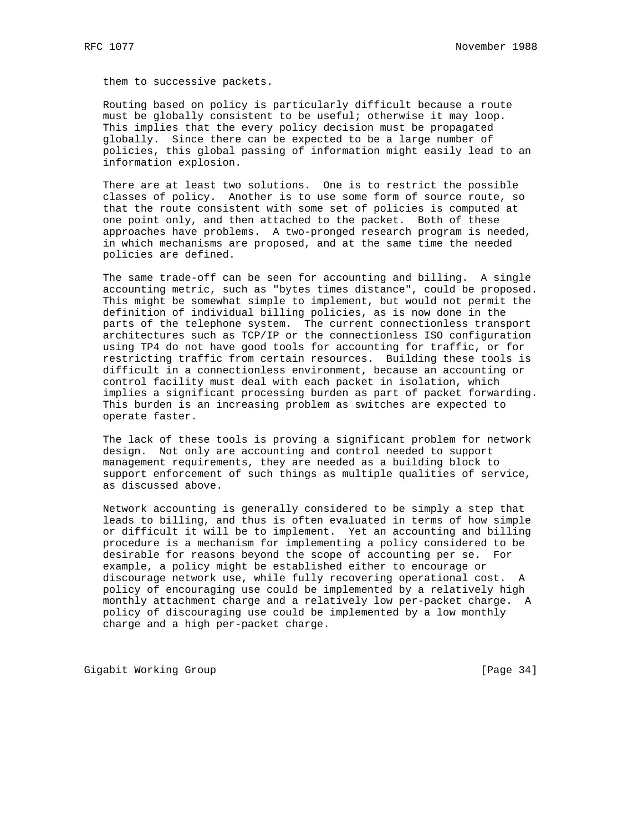them to successive packets.

 Routing based on policy is particularly difficult because a route must be globally consistent to be useful; otherwise it may loop. This implies that the every policy decision must be propagated globally. Since there can be expected to be a large number of policies, this global passing of information might easily lead to an information explosion.

 There are at least two solutions. One is to restrict the possible classes of policy. Another is to use some form of source route, so that the route consistent with some set of policies is computed at one point only, and then attached to the packet. Both of these approaches have problems. A two-pronged research program is needed, in which mechanisms are proposed, and at the same time the needed policies are defined.

 The same trade-off can be seen for accounting and billing. A single accounting metric, such as "bytes times distance", could be proposed. This might be somewhat simple to implement, but would not permit the definition of individual billing policies, as is now done in the parts of the telephone system. The current connectionless transport architectures such as TCP/IP or the connectionless ISO configuration using TP4 do not have good tools for accounting for traffic, or for restricting traffic from certain resources. Building these tools is difficult in a connectionless environment, because an accounting or control facility must deal with each packet in isolation, which implies a significant processing burden as part of packet forwarding. This burden is an increasing problem as switches are expected to operate faster.

 The lack of these tools is proving a significant problem for network design. Not only are accounting and control needed to support management requirements, they are needed as a building block to support enforcement of such things as multiple qualities of service, as discussed above.

 Network accounting is generally considered to be simply a step that leads to billing, and thus is often evaluated in terms of how simple or difficult it will be to implement. Yet an accounting and billing procedure is a mechanism for implementing a policy considered to be desirable for reasons beyond the scope of accounting per se. For example, a policy might be established either to encourage or discourage network use, while fully recovering operational cost. A policy of encouraging use could be implemented by a relatively high monthly attachment charge and a relatively low per-packet charge. A policy of discouraging use could be implemented by a low monthly charge and a high per-packet charge.

Gigabit Working Group **by Example 2018** [Page 34]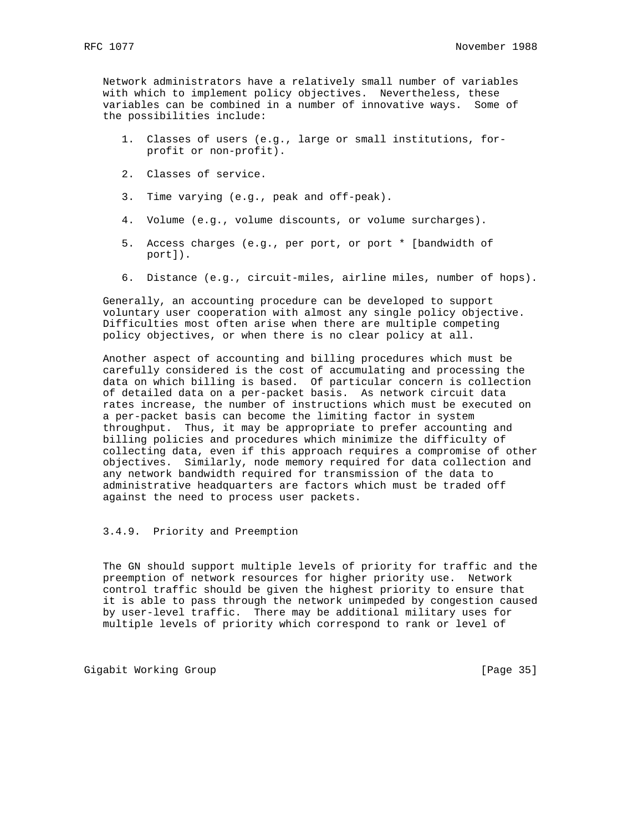Network administrators have a relatively small number of variables with which to implement policy objectives. Nevertheless, these variables can be combined in a number of innovative ways. Some of the possibilities include:

- 1. Classes of users (e.g., large or small institutions, for profit or non-profit).
- 2. Classes of service.
- 3. Time varying (e.g., peak and off-peak).
- 4. Volume (e.g., volume discounts, or volume surcharges).
- 5. Access charges (e.g., per port, or port \* [bandwidth of port]).
- 6. Distance (e.g., circuit-miles, airline miles, number of hops).

 Generally, an accounting procedure can be developed to support voluntary user cooperation with almost any single policy objective. Difficulties most often arise when there are multiple competing policy objectives, or when there is no clear policy at all.

 Another aspect of accounting and billing procedures which must be carefully considered is the cost of accumulating and processing the data on which billing is based. Of particular concern is collection of detailed data on a per-packet basis. As network circuit data rates increase, the number of instructions which must be executed on a per-packet basis can become the limiting factor in system throughput. Thus, it may be appropriate to prefer accounting and billing policies and procedures which minimize the difficulty of collecting data, even if this approach requires a compromise of other objectives. Similarly, node memory required for data collection and any network bandwidth required for transmission of the data to administrative headquarters are factors which must be traded off against the need to process user packets.

3.4.9. Priority and Preemption

 The GN should support multiple levels of priority for traffic and the preemption of network resources for higher priority use. Network control traffic should be given the highest priority to ensure that it is able to pass through the network unimpeded by congestion caused by user-level traffic. There may be additional military uses for multiple levels of priority which correspond to rank or level of

Gigabit Working Group **by Example 2012** [Page 35]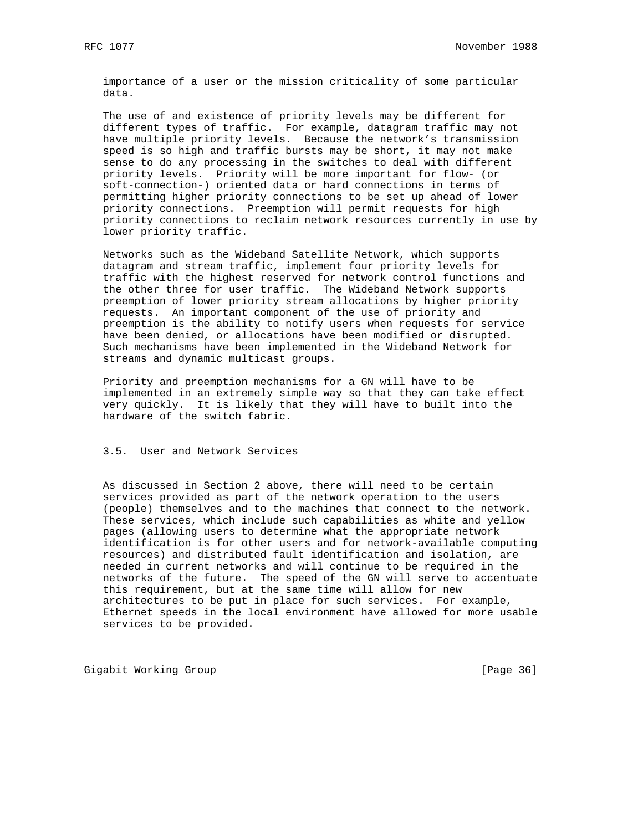importance of a user or the mission criticality of some particular data.

 The use of and existence of priority levels may be different for different types of traffic. For example, datagram traffic may not have multiple priority levels. Because the network's transmission speed is so high and traffic bursts may be short, it may not make sense to do any processing in the switches to deal with different priority levels. Priority will be more important for flow- (or soft-connection-) oriented data or hard connections in terms of permitting higher priority connections to be set up ahead of lower priority connections. Preemption will permit requests for high priority connections to reclaim network resources currently in use by lower priority traffic.

 Networks such as the Wideband Satellite Network, which supports datagram and stream traffic, implement four priority levels for traffic with the highest reserved for network control functions and the other three for user traffic. The Wideband Network supports preemption of lower priority stream allocations by higher priority requests. An important component of the use of priority and preemption is the ability to notify users when requests for service have been denied, or allocations have been modified or disrupted. Such mechanisms have been implemented in the Wideband Network for streams and dynamic multicast groups.

 Priority and preemption mechanisms for a GN will have to be implemented in an extremely simple way so that they can take effect very quickly. It is likely that they will have to built into the hardware of the switch fabric.

3.5. User and Network Services

 As discussed in Section 2 above, there will need to be certain services provided as part of the network operation to the users (people) themselves and to the machines that connect to the network. These services, which include such capabilities as white and yellow pages (allowing users to determine what the appropriate network identification is for other users and for network-available computing resources) and distributed fault identification and isolation, are needed in current networks and will continue to be required in the networks of the future. The speed of the GN will serve to accentuate this requirement, but at the same time will allow for new architectures to be put in place for such services. For example, Ethernet speeds in the local environment have allowed for more usable services to be provided.

Gigabit Working Group **by Example 2012** [Page 36]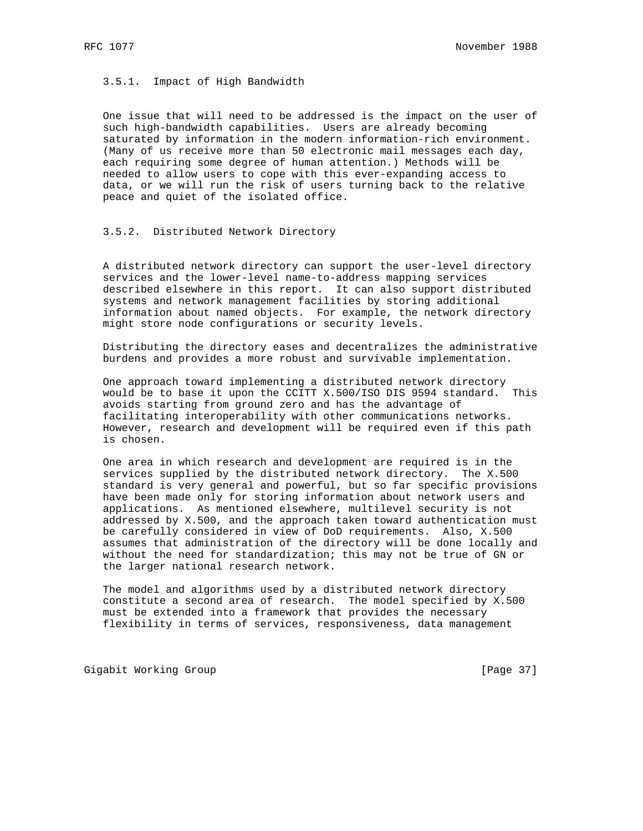3.5.1. Impact of High Bandwidth

 One issue that will need to be addressed is the impact on the user of such high-bandwidth capabilities. Users are already becoming saturated by information in the modern information-rich environment. (Many of us receive more than 50 electronic mail messages each day, each requiring some degree of human attention.) Methods will be needed to allow users to cope with this ever-expanding access to data, or we will run the risk of users turning back to the relative peace and quiet of the isolated office.

### 3.5.2. Distributed Network Directory

 A distributed network directory can support the user-level directory services and the lower-level name-to-address mapping services described elsewhere in this report. It can also support distributed systems and network management facilities by storing additional information about named objects. For example, the network directory might store node configurations or security levels.

 Distributing the directory eases and decentralizes the administrative burdens and provides a more robust and survivable implementation.

 One approach toward implementing a distributed network directory would be to base it upon the CCITT X.500/ISO DIS 9594 standard. This avoids starting from ground zero and has the advantage of facilitating interoperability with other communications networks. However, research and development will be required even if this path is chosen.

 One area in which research and development are required is in the services supplied by the distributed network directory. The X.500 standard is very general and powerful, but so far specific provisions have been made only for storing information about network users and applications. As mentioned elsewhere, multilevel security is not addressed by X.500, and the approach taken toward authentication must be carefully considered in view of DoD requirements. Also, X.500 assumes that administration of the directory will be done locally and without the need for standardization; this may not be true of GN or the larger national research network.

 The model and algorithms used by a distributed network directory constitute a second area of research. The model specified by X.500 must be extended into a framework that provides the necessary flexibility in terms of services, responsiveness, data management

Gigabit Working Group **by Example 2018** [Page 37]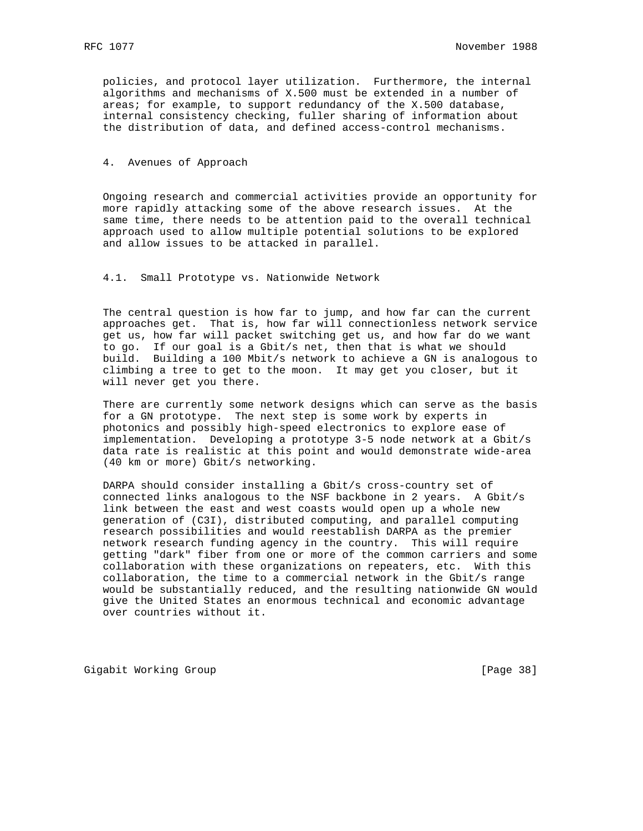policies, and protocol layer utilization. Furthermore, the internal algorithms and mechanisms of X.500 must be extended in a number of areas; for example, to support redundancy of the X.500 database, internal consistency checking, fuller sharing of information about the distribution of data, and defined access-control mechanisms.

#### 4. Avenues of Approach

 Ongoing research and commercial activities provide an opportunity for more rapidly attacking some of the above research issues. At the same time, there needs to be attention paid to the overall technical approach used to allow multiple potential solutions to be explored and allow issues to be attacked in parallel.

4.1. Small Prototype vs. Nationwide Network

 The central question is how far to jump, and how far can the current approaches get. That is, how far will connectionless network service get us, how far will packet switching get us, and how far do we want to go. If our goal is a Gbit/s net, then that is what we should build. Building a 100 Mbit/s network to achieve a GN is analogous to climbing a tree to get to the moon. It may get you closer, but it will never get you there.

 There are currently some network designs which can serve as the basis for a GN prototype. The next step is some work by experts in photonics and possibly high-speed electronics to explore ease of implementation. Developing a prototype 3-5 node network at a Gbit/s data rate is realistic at this point and would demonstrate wide-area (40 km or more) Gbit/s networking.

 DARPA should consider installing a Gbit/s cross-country set of connected links analogous to the NSF backbone in 2 years. A Gbit/s link between the east and west coasts would open up a whole new generation of (C3I), distributed computing, and parallel computing research possibilities and would reestablish DARPA as the premier network research funding agency in the country. This will require getting "dark" fiber from one or more of the common carriers and some collaboration with these organizations on repeaters, etc. With this collaboration, the time to a commercial network in the Gbit/s range would be substantially reduced, and the resulting nationwide GN would give the United States an enormous technical and economic advantage over countries without it.

Gigabit Working Group **by Example 2018** [Page 38]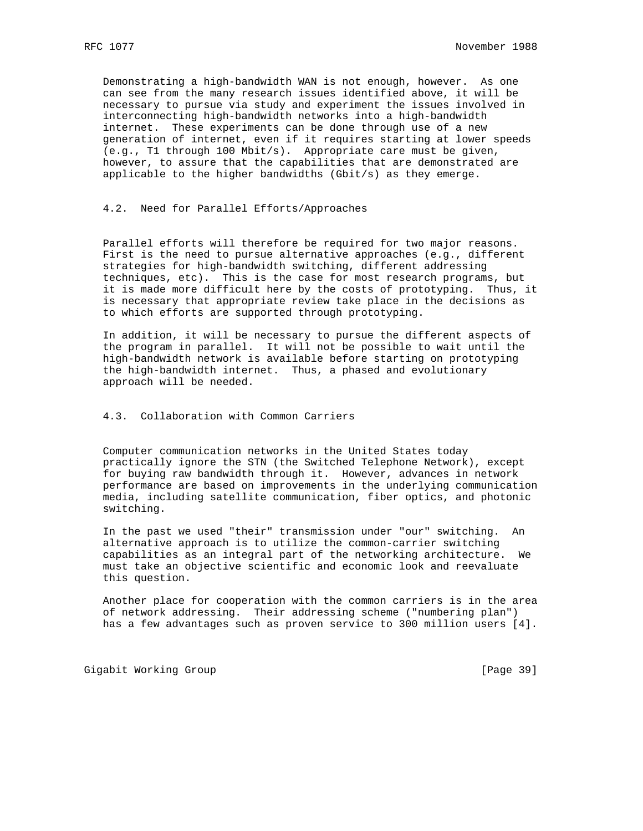Demonstrating a high-bandwidth WAN is not enough, however. As one can see from the many research issues identified above, it will be necessary to pursue via study and experiment the issues involved in interconnecting high-bandwidth networks into a high-bandwidth internet. These experiments can be done through use of a new generation of internet, even if it requires starting at lower speeds (e.g., T1 through 100 Mbit/s). Appropriate care must be given, however, to assure that the capabilities that are demonstrated are applicable to the higher bandwidths (Gbit/s) as they emerge.

### 4.2. Need for Parallel Efforts/Approaches

 Parallel efforts will therefore be required for two major reasons. First is the need to pursue alternative approaches (e.g., different strategies for high-bandwidth switching, different addressing techniques, etc). This is the case for most research programs, but it is made more difficult here by the costs of prototyping. Thus, it is necessary that appropriate review take place in the decisions as to which efforts are supported through prototyping.

 In addition, it will be necessary to pursue the different aspects of the program in parallel. It will not be possible to wait until the high-bandwidth network is available before starting on prototyping the high-bandwidth internet. Thus, a phased and evolutionary approach will be needed.

### 4.3. Collaboration with Common Carriers

 Computer communication networks in the United States today practically ignore the STN (the Switched Telephone Network), except for buying raw bandwidth through it. However, advances in network performance are based on improvements in the underlying communication media, including satellite communication, fiber optics, and photonic switching.

 In the past we used "their" transmission under "our" switching. An alternative approach is to utilize the common-carrier switching capabilities as an integral part of the networking architecture. We must take an objective scientific and economic look and reevaluate this question.

 Another place for cooperation with the common carriers is in the area of network addressing. Their addressing scheme ("numbering plan") has a few advantages such as proven service to 300 million users [4].

Gigabit Working Group **by Example 2018** [Page 39]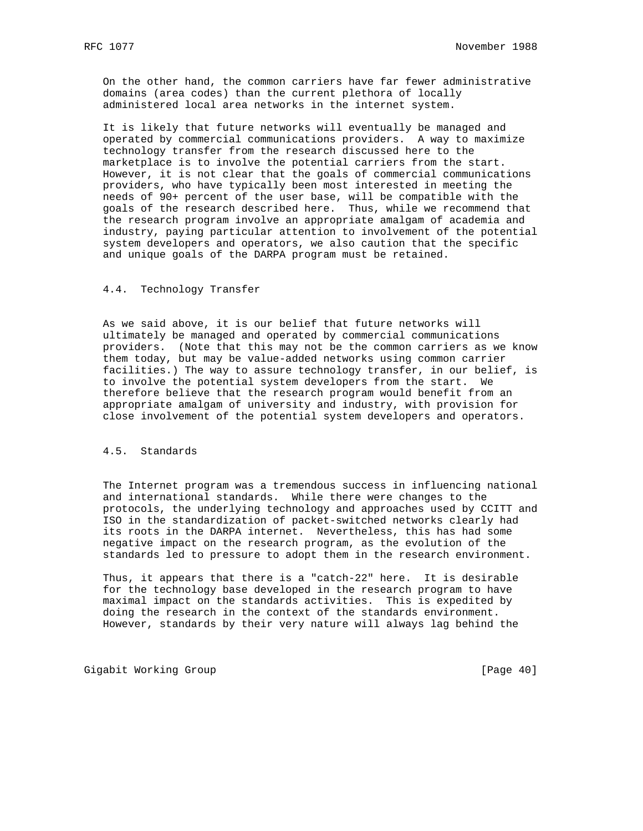On the other hand, the common carriers have far fewer administrative domains (area codes) than the current plethora of locally administered local area networks in the internet system.

 It is likely that future networks will eventually be managed and operated by commercial communications providers. A way to maximize technology transfer from the research discussed here to the marketplace is to involve the potential carriers from the start. However, it is not clear that the goals of commercial communications providers, who have typically been most interested in meeting the needs of 90+ percent of the user base, will be compatible with the goals of the research described here. Thus, while we recommend that the research program involve an appropriate amalgam of academia and industry, paying particular attention to involvement of the potential system developers and operators, we also caution that the specific and unique goals of the DARPA program must be retained.

## 4.4. Technology Transfer

 As we said above, it is our belief that future networks will ultimately be managed and operated by commercial communications providers. (Note that this may not be the common carriers as we know them today, but may be value-added networks using common carrier facilities.) The way to assure technology transfer, in our belief, is to involve the potential system developers from the start. We therefore believe that the research program would benefit from an appropriate amalgam of university and industry, with provision for close involvement of the potential system developers and operators.

## 4.5. Standards

 The Internet program was a tremendous success in influencing national and international standards. While there were changes to the protocols, the underlying technology and approaches used by CCITT and ISO in the standardization of packet-switched networks clearly had its roots in the DARPA internet. Nevertheless, this has had some negative impact on the research program, as the evolution of the standards led to pressure to adopt them in the research environment.

 Thus, it appears that there is a "catch-22" here. It is desirable for the technology base developed in the research program to have maximal impact on the standards activities. This is expedited by doing the research in the context of the standards environment. However, standards by their very nature will always lag behind the

Gigabit Working Group **by Communist Communist Communist Communist Communist Communist Communist Communist Communist Communist Communist Communist Communist Communist Communist Communist Communist Communist Communist Commun**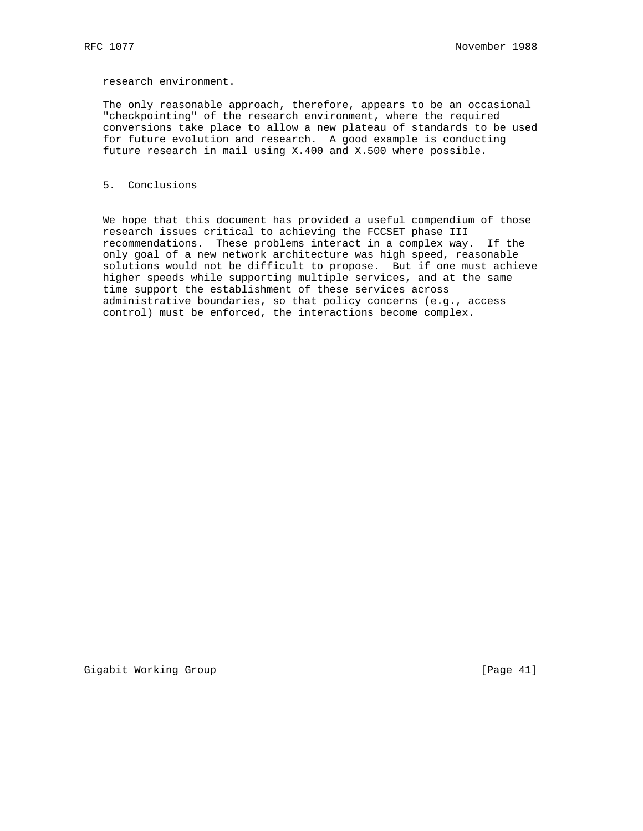research environment.

 The only reasonable approach, therefore, appears to be an occasional "checkpointing" of the research environment, where the required conversions take place to allow a new plateau of standards to be used for future evolution and research. A good example is conducting future research in mail using X.400 and X.500 where possible.

### 5. Conclusions

 We hope that this document has provided a useful compendium of those research issues critical to achieving the FCCSET phase III recommendations. These problems interact in a complex way. If the only goal of a new network architecture was high speed, reasonable solutions would not be difficult to propose. But if one must achieve higher speeds while supporting multiple services, and at the same time support the establishment of these services across administrative boundaries, so that policy concerns (e.g., access control) must be enforced, the interactions become complex.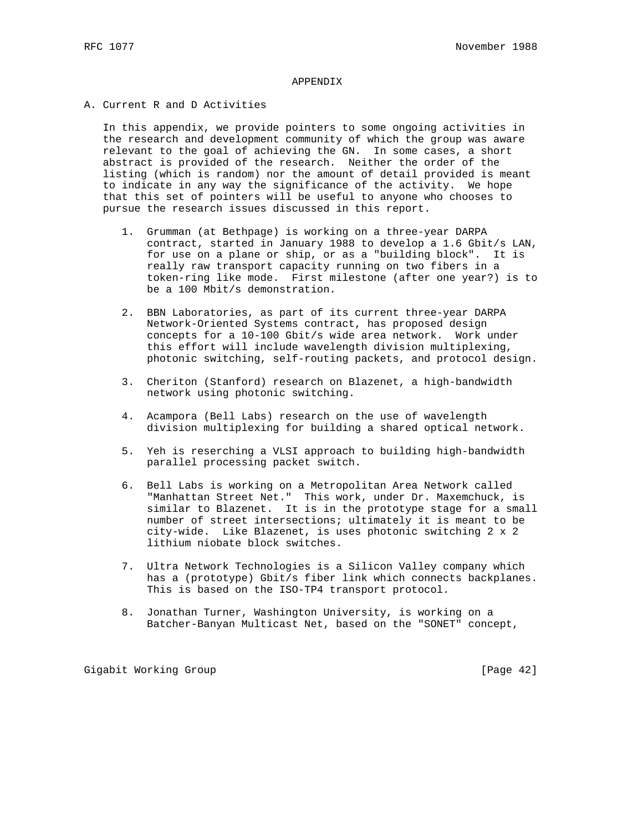# APPENDIX

A. Current R and D Activities

 In this appendix, we provide pointers to some ongoing activities in the research and development community of which the group was aware relevant to the goal of achieving the GN. In some cases, a short abstract is provided of the research. Neither the order of the listing (which is random) nor the amount of detail provided is meant to indicate in any way the significance of the activity. We hope that this set of pointers will be useful to anyone who chooses to pursue the research issues discussed in this report.

- 1. Grumman (at Bethpage) is working on a three-year DARPA contract, started in January 1988 to develop a 1.6 Gbit/s LAN, for use on a plane or ship, or as a "building block". It is really raw transport capacity running on two fibers in a token-ring like mode. First milestone (after one year?) is to be a 100 Mbit/s demonstration.
- 2. BBN Laboratories, as part of its current three-year DARPA Network-Oriented Systems contract, has proposed design concepts for a 10-100 Gbit/s wide area network. Work under this effort will include wavelength division multiplexing, photonic switching, self-routing packets, and protocol design.
- 3. Cheriton (Stanford) research on Blazenet, a high-bandwidth network using photonic switching.
- 4. Acampora (Bell Labs) research on the use of wavelength division multiplexing for building a shared optical network.
- 5. Yeh is reserching a VLSI approach to building high-bandwidth parallel processing packet switch.
- 6. Bell Labs is working on a Metropolitan Area Network called "Manhattan Street Net." This work, under Dr. Maxemchuck, is similar to Blazenet. It is in the prototype stage for a small number of street intersections; ultimately it is meant to be city-wide. Like Blazenet, is uses photonic switching 2 x 2 lithium niobate block switches.
- 7. Ultra Network Technologies is a Silicon Valley company which has a (prototype) Gbit/s fiber link which connects backplanes. This is based on the ISO-TP4 transport protocol.
- 8. Jonathan Turner, Washington University, is working on a Batcher-Banyan Multicast Net, based on the "SONET" concept,

Gigabit Working Group **by Example 2018** [Page 42]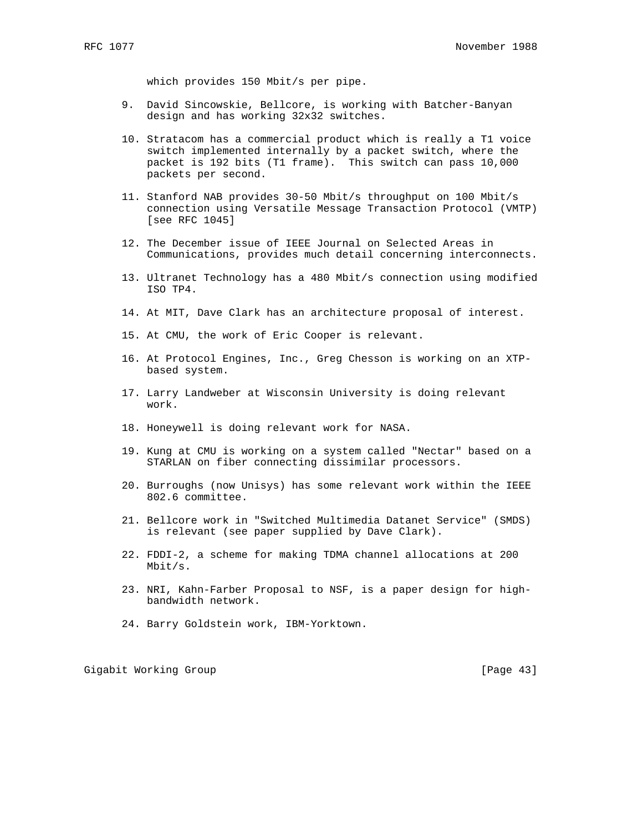which provides 150 Mbit/s per pipe.

- 9. David Sincowskie, Bellcore, is working with Batcher-Banyan design and has working 32x32 switches.
- 10. Stratacom has a commercial product which is really a T1 voice switch implemented internally by a packet switch, where the packet is 192 bits (T1 frame). This switch can pass 10,000 packets per second.
- 11. Stanford NAB provides 30-50 Mbit/s throughput on 100 Mbit/s connection using Versatile Message Transaction Protocol (VMTP) [see RFC 1045]
- 12. The December issue of IEEE Journal on Selected Areas in Communications, provides much detail concerning interconnects.
- 13. Ultranet Technology has a 480 Mbit/s connection using modified ISO TP4.
- 14. At MIT, Dave Clark has an architecture proposal of interest.
- 15. At CMU, the work of Eric Cooper is relevant.
- 16. At Protocol Engines, Inc., Greg Chesson is working on an XTP based system.
- 17. Larry Landweber at Wisconsin University is doing relevant work.
- 18. Honeywell is doing relevant work for NASA.
- 19. Kung at CMU is working on a system called "Nectar" based on a STARLAN on fiber connecting dissimilar processors.
- 20. Burroughs (now Unisys) has some relevant work within the IEEE 802.6 committee.
- 21. Bellcore work in "Switched Multimedia Datanet Service" (SMDS) is relevant (see paper supplied by Dave Clark).
- 22. FDDI-2, a scheme for making TDMA channel allocations at 200 Mbit/s.
- 23. NRI, Kahn-Farber Proposal to NSF, is a paper design for high bandwidth network.
- 24. Barry Goldstein work, IBM-Yorktown.

Gigabit Working Group **by Example 2018** [Page 43]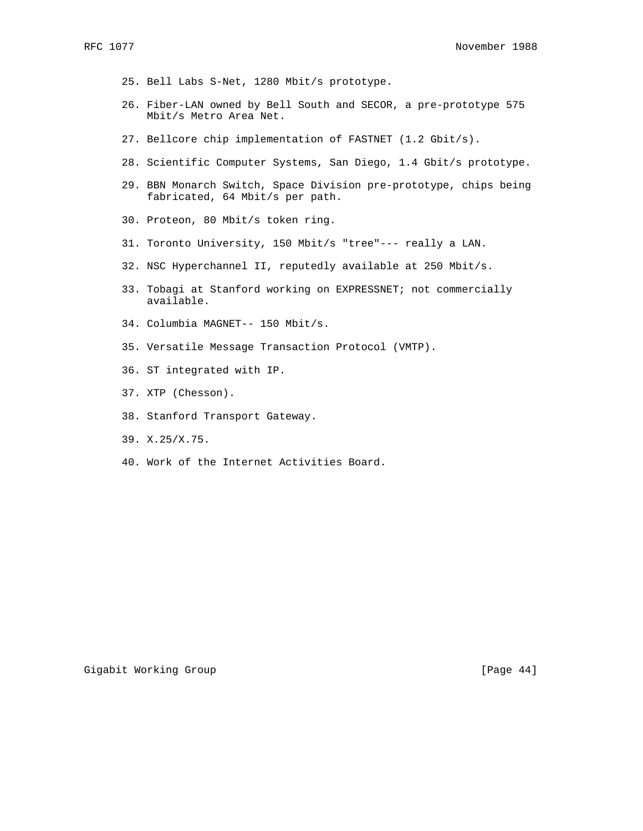- 25. Bell Labs S-Net, 1280 Mbit/s prototype.
- 26. Fiber-LAN owned by Bell South and SECOR, a pre-prototype 575 Mbit/s Metro Area Net.
- 27. Bellcore chip implementation of FASTNET (1.2 Gbit/s).
- 28. Scientific Computer Systems, San Diego, 1.4 Gbit/s prototype.
- 29. BBN Monarch Switch, Space Division pre-prototype, chips being fabricated, 64 Mbit/s per path.
- 30. Proteon, 80 Mbit/s token ring.
- 31. Toronto University, 150 Mbit/s "tree"--- really a LAN.
- 32. NSC Hyperchannel II, reputedly available at 250 Mbit/s.
- 33. Tobagi at Stanford working on EXPRESSNET; not commercially available.
- 34. Columbia MAGNET-- 150 Mbit/s.
- 35. Versatile Message Transaction Protocol (VMTP).
- 36. ST integrated with IP.
- 37. XTP (Chesson).
- 38. Stanford Transport Gateway.
- 39. X.25/X.75.
- 40. Work of the Internet Activities Board.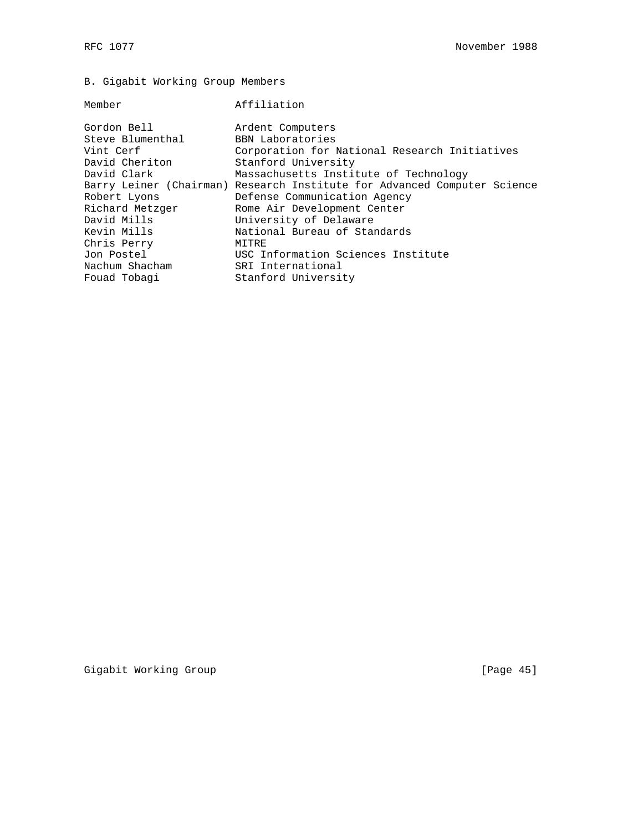# B. Gigabit Working Group Members

#### Member **Affiliation**

Gordon Bell **Ardent Computers** Steve Blumenthal BBN Laboratories Vint Cerf Corporation for National Research Initiatives David Cheriton Stanford University David Clark Massachusetts Institute of Technology Barry Leiner (Chairman) Research Institute for Advanced Computer Science Robert Lyons Defense Communication Agency Richard Metzger Rome Air Development Center David Mills University of Delaware Kevin Mills National Bureau of Standards Chris Perry MITRE Jon Postel USC Information Sciences Institute Nachum Shacham SRI International Fouad Tobagi Stanford University